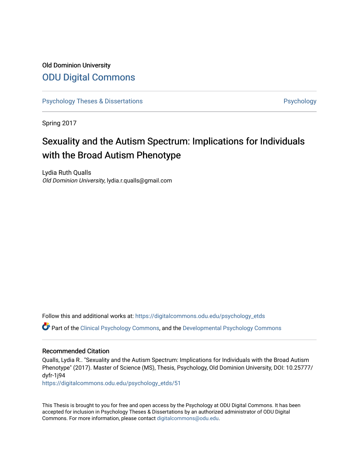## Old Dominion University [ODU Digital Commons](https://digitalcommons.odu.edu/)

[Psychology Theses & Dissertations](https://digitalcommons.odu.edu/psychology_etds) **Psychology** Psychology

Spring 2017

## Sexuality and the Autism Spectrum: Implications for Individuals with the Broad Autism Phenotype

Lydia Ruth Qualls Old Dominion University, lydia.r.qualls@gmail.com

Follow this and additional works at: [https://digitalcommons.odu.edu/psychology\\_etds](https://digitalcommons.odu.edu/psychology_etds?utm_source=digitalcommons.odu.edu%2Fpsychology_etds%2F51&utm_medium=PDF&utm_campaign=PDFCoverPages)

Part of the [Clinical Psychology Commons,](http://network.bepress.com/hgg/discipline/406?utm_source=digitalcommons.odu.edu%2Fpsychology_etds%2F51&utm_medium=PDF&utm_campaign=PDFCoverPages) and the [Developmental Psychology Commons](http://network.bepress.com/hgg/discipline/410?utm_source=digitalcommons.odu.edu%2Fpsychology_etds%2F51&utm_medium=PDF&utm_campaign=PDFCoverPages)

#### Recommended Citation

Qualls, Lydia R.. "Sexuality and the Autism Spectrum: Implications for Individuals with the Broad Autism Phenotype" (2017). Master of Science (MS), Thesis, Psychology, Old Dominion University, DOI: 10.25777/ dyfr-1j94

[https://digitalcommons.odu.edu/psychology\\_etds/51](https://digitalcommons.odu.edu/psychology_etds/51?utm_source=digitalcommons.odu.edu%2Fpsychology_etds%2F51&utm_medium=PDF&utm_campaign=PDFCoverPages) 

This Thesis is brought to you for free and open access by the Psychology at ODU Digital Commons. It has been accepted for inclusion in Psychology Theses & Dissertations by an authorized administrator of ODU Digital Commons. For more information, please contact [digitalcommons@odu.edu](mailto:digitalcommons@odu.edu).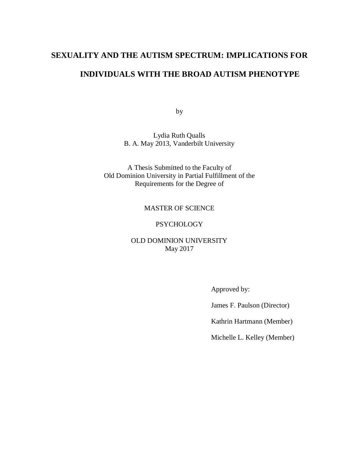### **SEXUALITY AND THE AUTISM SPECTRUM: IMPLICATIONS FOR**

## **INDIVIDUALS WITH THE BROAD AUTISM PHENOTYPE**

by

Lydia Ruth Qualls B. A. May 2013, Vanderbilt University

A Thesis Submitted to the Faculty of Old Dominion University in Partial Fulfillment of the Requirements for the Degree of

#### MASTER OF SCIENCE

#### **PSYCHOLOGY**

#### OLD DOMINION UNIVERSITY May 2017

Approved by:

James F. Paulson (Director)

Kathrin Hartmann (Member)

Michelle L. Kelley (Member)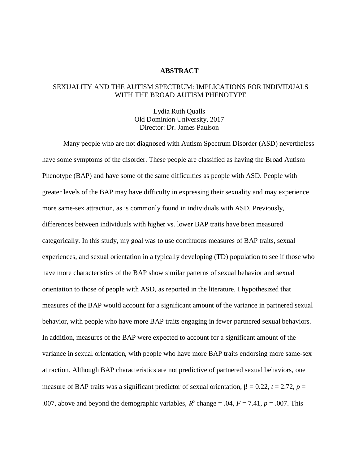#### **ABSTRACT**

#### SEXUALITY AND THE AUTISM SPECTRUM: IMPLICATIONS FOR INDIVIDUALS WITH THE BROAD AUTISM PHENOTYPE

Lydia Ruth Qualls Old Dominion University, 2017 Director: Dr. James Paulson

Many people who are not diagnosed with Autism Spectrum Disorder (ASD) nevertheless have some symptoms of the disorder. These people are classified as having the Broad Autism Phenotype (BAP) and have some of the same difficulties as people with ASD. People with greater levels of the BAP may have difficulty in expressing their sexuality and may experience more same-sex attraction, as is commonly found in individuals with ASD. Previously, differences between individuals with higher vs. lower BAP traits have been measured categorically. In this study, my goal was to use continuous measures of BAP traits, sexual experiences, and sexual orientation in a typically developing (TD) population to see if those who have more characteristics of the BAP show similar patterns of sexual behavior and sexual orientation to those of people with ASD, as reported in the literature. I hypothesized that measures of the BAP would account for a significant amount of the variance in partnered sexual behavior, with people who have more BAP traits engaging in fewer partnered sexual behaviors. In addition, measures of the BAP were expected to account for a significant amount of the variance in sexual orientation, with people who have more BAP traits endorsing more same-sex attraction. Although BAP characteristics are not predictive of partnered sexual behaviors, one measure of BAP traits was a significant predictor of sexual orientation,  $\beta = 0.22$ ,  $t = 2.72$ ,  $p =$ .007, above and beyond the demographic variables,  $R^2$  change = .04,  $F = 7.41$ ,  $p = .007$ . This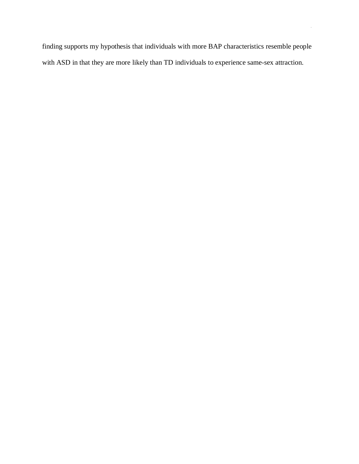finding supports my hypothesis that individuals with more BAP characteristics resemble people with ASD in that they are more likely than TD individuals to experience same-sex attraction.

iii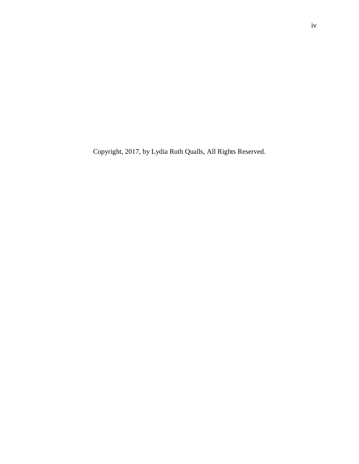Copyright, 2017, by Lydia Ruth Qualls, All Rights Reserved.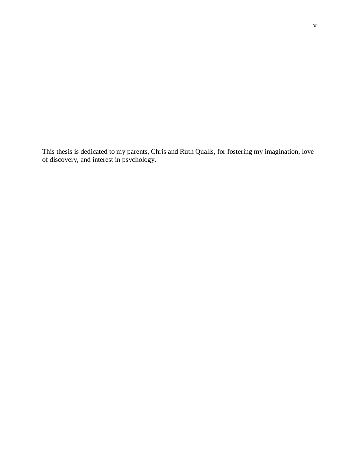This thesis is dedicated to my parents, Chris and Ruth Qualls, for fostering my imagination, love of discovery, and interest in psychology.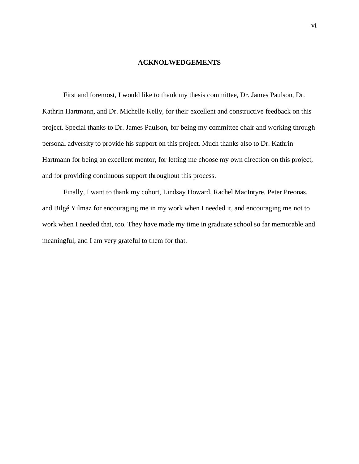#### **ACKNOLWEDGEMENTS**

First and foremost, I would like to thank my thesis committee, Dr. James Paulson, Dr. Kathrin Hartmann, and Dr. Michelle Kelly, for their excellent and constructive feedback on this project. Special thanks to Dr. James Paulson, for being my committee chair and working through personal adversity to provide his support on this project. Much thanks also to Dr. Kathrin Hartmann for being an excellent mentor, for letting me choose my own direction on this project, and for providing continuous support throughout this process.

Finally, I want to thank my cohort, Lindsay Howard, Rachel MacIntyre, Peter Preonas, and Bilgé Yilmaz for encouraging me in my work when I needed it, and encouraging me not to work when I needed that, too. They have made my time in graduate school so far memorable and meaningful, and I am very grateful to them for that.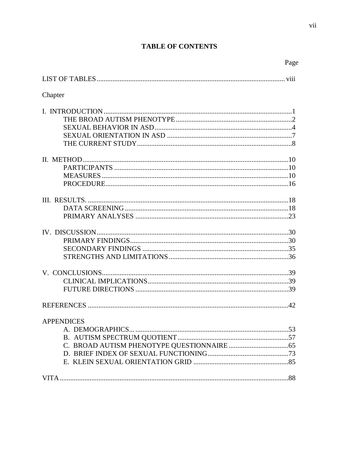## **TABLE OF CONTENTS**

| Page              |  |
|-------------------|--|
|                   |  |
| Chapter           |  |
|                   |  |
|                   |  |
|                   |  |
|                   |  |
|                   |  |
|                   |  |
| <b>APPENDICES</b> |  |
|                   |  |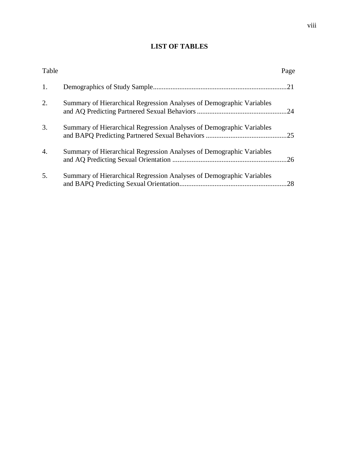# **LIST OF TABLES**

| Table            |                                                                      | Page |
|------------------|----------------------------------------------------------------------|------|
| 1.               |                                                                      |      |
| 2.               | Summary of Hierarchical Regression Analyses of Demographic Variables |      |
| 3.               | Summary of Hierarchical Regression Analyses of Demographic Variables | .25  |
| $\overline{4}$ . | Summary of Hierarchical Regression Analyses of Demographic Variables | .26  |
| 5.               | Summary of Hierarchical Regression Analyses of Demographic Variables | .28  |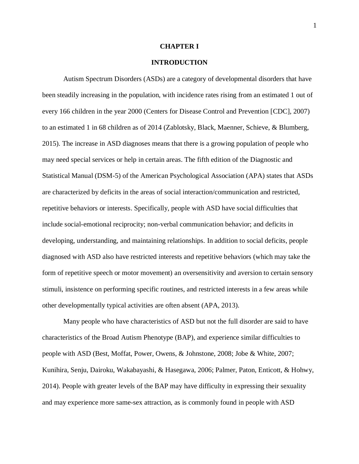#### **CHAPTER I**

#### **INTRODUCTION**

Autism Spectrum Disorders (ASDs) are a category of developmental disorders that have been steadily increasing in the population, with incidence rates rising from an estimated 1 out of every 166 children in the year 2000 (Centers for Disease Control and Prevention [CDC], 2007) to an estimated 1 in 68 children as of 2014 (Zablotsky, Black, Maenner, Schieve, & Blumberg, 2015). The increase in ASD diagnoses means that there is a growing population of people who may need special services or help in certain areas. The fifth edition of the Diagnostic and Statistical Manual (DSM-5) of the American Psychological Association (APA) states that ASDs are characterized by deficits in the areas of social interaction/communication and restricted, repetitive behaviors or interests. Specifically, people with ASD have social difficulties that include social-emotional reciprocity; non-verbal communication behavior; and deficits in developing, understanding, and maintaining relationships. In addition to social deficits, people diagnosed with ASD also have restricted interests and repetitive behaviors (which may take the form of repetitive speech or motor movement) an oversensitivity and aversion to certain sensory stimuli, insistence on performing specific routines, and restricted interests in a few areas while other developmentally typical activities are often absent (APA, 2013).

Many people who have characteristics of ASD but not the full disorder are said to have characteristics of the Broad Autism Phenotype (BAP), and experience similar difficulties to people with ASD (Best, Moffat, Power, Owens, & Johnstone, 2008; Jobe & White, 2007; Kunihira, Senju, Dairoku, Wakabayashi, & Hasegawa, 2006; Palmer, Paton, Enticott, & Hohwy, 2014). People with greater levels of the BAP may have difficulty in expressing their sexuality and may experience more same-sex attraction, as is commonly found in people with ASD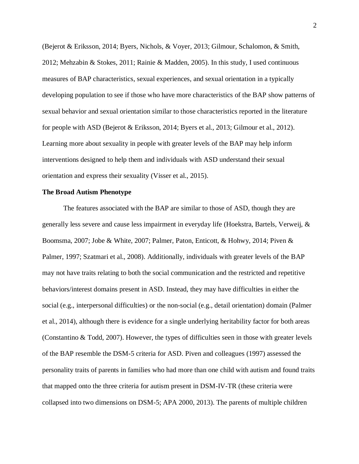(Bejerot & Eriksson, 2014; Byers, Nichols, & Voyer, 2013; Gilmour, Schalomon, & Smith, 2012; Mehzabin & Stokes, 2011; Rainie & Madden, 2005). In this study, I used continuous measures of BAP characteristics, sexual experiences, and sexual orientation in a typically developing population to see if those who have more characteristics of the BAP show patterns of sexual behavior and sexual orientation similar to those characteristics reported in the literature for people with ASD (Bejerot & Eriksson, 2014; Byers et al., 2013; Gilmour et al., 2012). Learning more about sexuality in people with greater levels of the BAP may help inform interventions designed to help them and individuals with ASD understand their sexual orientation and express their sexuality (Visser et al., 2015).

#### **The Broad Autism Phenotype**

The features associated with the BAP are similar to those of ASD, though they are generally less severe and cause less impairment in everyday life (Hoekstra, Bartels, Verweij, & Boomsma, 2007; Jobe & White, 2007; Palmer, Paton, Enticott, & Hohwy, 2014; Piven & Palmer, 1997; Szatmari et al., 2008). Additionally, individuals with greater levels of the BAP may not have traits relating to both the social communication and the restricted and repetitive behaviors/interest domains present in ASD. Instead, they may have difficulties in either the social (e.g., interpersonal difficulties) or the non-social (e.g., detail orientation) domain (Palmer et al., 2014), although there is evidence for a single underlying heritability factor for both areas (Constantino & Todd, 2007). However, the types of difficulties seen in those with greater levels of the BAP resemble the DSM-5 criteria for ASD. Piven and colleagues (1997) assessed the personality traits of parents in families who had more than one child with autism and found traits that mapped onto the three criteria for autism present in DSM-IV-TR (these criteria were collapsed into two dimensions on DSM-5; APA 2000, 2013). The parents of multiple children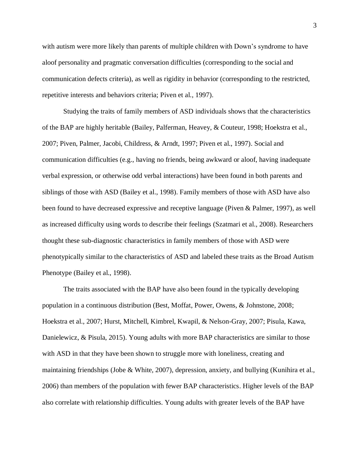with autism were more likely than parents of multiple children with Down's syndrome to have aloof personality and pragmatic conversation difficulties (corresponding to the social and communication defects criteria), as well as rigidity in behavior (corresponding to the restricted, repetitive interests and behaviors criteria; Piven et al., 1997).

Studying the traits of family members of ASD individuals shows that the characteristics of the BAP are highly heritable (Bailey, Palferman, Heavey, & Couteur, 1998; Hoekstra et al., 2007; Piven, Palmer, Jacobi, Childress, & Arndt, 1997; Piven et al., 1997). Social and communication difficulties (e.g., having no friends, being awkward or aloof, having inadequate verbal expression, or otherwise odd verbal interactions) have been found in both parents and siblings of those with ASD (Bailey et al., 1998). Family members of those with ASD have also been found to have decreased expressive and receptive language (Piven & Palmer, 1997), as well as increased difficulty using words to describe their feelings (Szatmari et al., 2008). Researchers thought these sub-diagnostic characteristics in family members of those with ASD were phenotypically similar to the characteristics of ASD and labeled these traits as the Broad Autism Phenotype (Bailey et al., 1998).

The traits associated with the BAP have also been found in the typically developing population in a continuous distribution (Best, Moffat, Power, Owens, & Johnstone, 2008; Hoekstra et al., 2007; Hurst, Mitchell, Kimbrel, Kwapil, & Nelson-Gray, 2007; Pisula, Kawa, Danielewicz, & Pisula, 2015). Young adults with more BAP characteristics are similar to those with ASD in that they have been shown to struggle more with loneliness, creating and maintaining friendships (Jobe & White, 2007), depression, anxiety, and bullying (Kunihira et al., 2006) than members of the population with fewer BAP characteristics. Higher levels of the BAP also correlate with relationship difficulties. Young adults with greater levels of the BAP have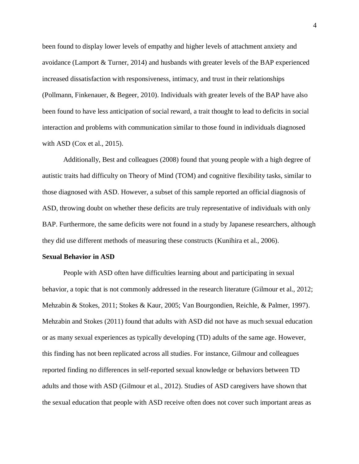been found to display lower levels of empathy and higher levels of attachment anxiety and avoidance (Lamport & Turner, 2014) and husbands with greater levels of the BAP experienced increased dissatisfaction with responsiveness, intimacy, and trust in their relationships (Pollmann, Finkenauer, & Begeer, 2010). Individuals with greater levels of the BAP have also been found to have less anticipation of social reward, a trait thought to lead to deficits in social interaction and problems with communication similar to those found in individuals diagnosed with ASD (Cox et al., 2015).

Additionally, Best and colleagues (2008) found that young people with a high degree of autistic traits had difficulty on Theory of Mind (TOM) and cognitive flexibility tasks, similar to those diagnosed with ASD. However, a subset of this sample reported an official diagnosis of ASD, throwing doubt on whether these deficits are truly representative of individuals with only BAP. Furthermore, the same deficits were not found in a study by Japanese researchers, although they did use different methods of measuring these constructs (Kunihira et al., 2006).

#### **Sexual Behavior in ASD**

People with ASD often have difficulties learning about and participating in sexual behavior, a topic that is not commonly addressed in the research literature (Gilmour et al., 2012; Mehzabin & Stokes, 2011; Stokes & Kaur, 2005; Van Bourgondien, Reichle, & Palmer, 1997). Mehzabin and Stokes (2011) found that adults with ASD did not have as much sexual education or as many sexual experiences as typically developing (TD) adults of the same age. However, this finding has not been replicated across all studies. For instance, Gilmour and colleagues reported finding no differences in self-reported sexual knowledge or behaviors between TD adults and those with ASD (Gilmour et al., 2012). Studies of ASD caregivers have shown that the sexual education that people with ASD receive often does not cover such important areas as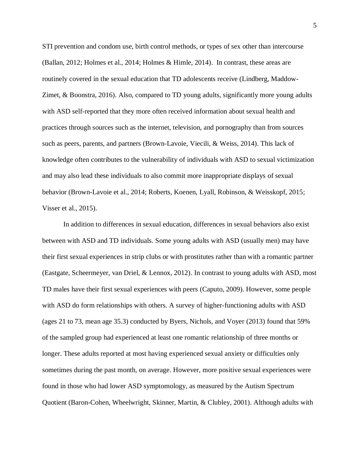STI prevention and condom use, birth control methods, or types of sex other than intercourse (Ballan, 2012; Holmes et al., 2014; Holmes & Himle, 2014). In contrast, these areas are routinely covered in the sexual education that TD adolescents receive (Lindberg, Maddow-Zimet, & Boonstra, 2016). Also, compared to TD young adults, significantly more young adults with ASD self-reported that they more often received information about sexual health and practices through sources such as the internet, television, and pornography than from sources such as peers, parents, and partners (Brown-Lavoie, Viecili, & Weiss, 2014). This lack of knowledge often contributes to the vulnerability of individuals with ASD to sexual victimization and may also lead these individuals to also commit more inappropriate displays of sexual behavior (Brown-Lavoie et al., 2014; Roberts, Koenen, Lyall, Robinson, & Weisskopf, 2015; Visser et al., 2015).

In addition to differences in sexual education, differences in sexual behaviors also exist between with ASD and TD individuals. Some young adults with ASD (usually men) may have their first sexual experiences in strip clubs or with prostitutes rather than with a romantic partner (Eastgate, Scheermeyer, van Driel, & Lennox, 2012). In contrast to young adults with ASD, most TD males have their first sexual experiences with peers (Caputo, 2009). However, some people with ASD do form relationships with others. A survey of higher-functioning adults with ASD (ages 21 to 73, mean age 35.3) conducted by Byers, Nichols, and Voyer (2013) found that 59% of the sampled group had experienced at least one romantic relationship of three months or longer. These adults reported at most having experienced sexual anxiety or difficulties only sometimes during the past month, on average. However, more positive sexual experiences were found in those who had lower ASD symptomology, as measured by the Autism Spectrum Quotient (Baron-Cohen, Wheelwright, Skinner, Martin, & Clubley, 2001). Although adults with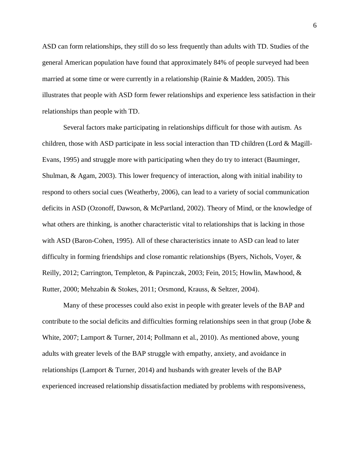ASD can form relationships, they still do so less frequently than adults with TD. Studies of the general American population have found that approximately 84% of people surveyed had been married at some time or were currently in a relationship (Rainie & Madden, 2005). This illustrates that people with ASD form fewer relationships and experience less satisfaction in their relationships than people with TD.

Several factors make participating in relationships difficult for those with autism. As children, those with ASD participate in less social interaction than TD children (Lord  $\&$  Magill-Evans, 1995) and struggle more with participating when they do try to interact (Bauminger, Shulman, & Agam, 2003). This lower frequency of interaction, along with initial inability to respond to others social cues (Weatherby, 2006), can lead to a variety of social communication deficits in ASD (Ozonoff, Dawson, & McPartland, 2002). Theory of Mind, or the knowledge of what others are thinking, is another characteristic vital to relationships that is lacking in those with ASD (Baron-Cohen, 1995). All of these characteristics innate to ASD can lead to later difficulty in forming friendships and close romantic relationships (Byers, Nichols, Voyer, & Reilly, 2012; Carrington, Templeton, & Papinczak, 2003; Fein, 2015; Howlin, Mawhood, & Rutter, 2000; Mehzabin & Stokes, 2011; Orsmond, Krauss, & Seltzer, 2004).

Many of these processes could also exist in people with greater levels of the BAP and contribute to the social deficits and difficulties forming relationships seen in that group (Jobe  $\&$ White, 2007; Lamport & Turner, 2014; Pollmann et al., 2010). As mentioned above, young adults with greater levels of the BAP struggle with empathy, anxiety, and avoidance in relationships (Lamport & Turner, 2014) and husbands with greater levels of the BAP experienced increased relationship dissatisfaction mediated by problems with responsiveness,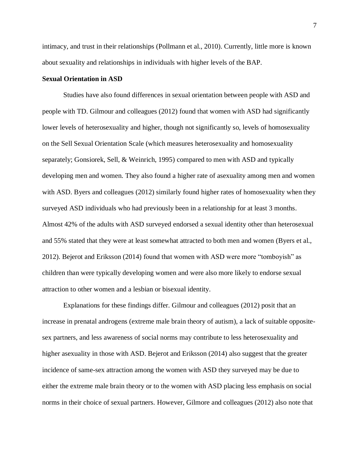intimacy, and trust in their relationships (Pollmann et al., 2010). Currently, little more is known about sexuality and relationships in individuals with higher levels of the BAP.

#### **Sexual Orientation in ASD**

Studies have also found differences in sexual orientation between people with ASD and people with TD. Gilmour and colleagues (2012) found that women with ASD had significantly lower levels of heterosexuality and higher, though not significantly so, levels of homosexuality on the Sell Sexual Orientation Scale (which measures heterosexuality and homosexuality separately; Gonsiorek, Sell, & Weinrich, 1995) compared to men with ASD and typically developing men and women. They also found a higher rate of asexuality among men and women with ASD. Byers and colleagues (2012) similarly found higher rates of homosexuality when they surveyed ASD individuals who had previously been in a relationship for at least 3 months. Almost 42% of the adults with ASD surveyed endorsed a sexual identity other than heterosexual and 55% stated that they were at least somewhat attracted to both men and women (Byers et al., 2012). Bejerot and Eriksson (2014) found that women with ASD were more "tomboyish" as children than were typically developing women and were also more likely to endorse sexual attraction to other women and a lesbian or bisexual identity.

Explanations for these findings differ. Gilmour and colleagues (2012) posit that an increase in prenatal androgens (extreme male brain theory of autism), a lack of suitable oppositesex partners, and less awareness of social norms may contribute to less heterosexuality and higher asexuality in those with ASD. Bejerot and Eriksson (2014) also suggest that the greater incidence of same-sex attraction among the women with ASD they surveyed may be due to either the extreme male brain theory or to the women with ASD placing less emphasis on social norms in their choice of sexual partners. However, Gilmore and colleagues (2012) also note that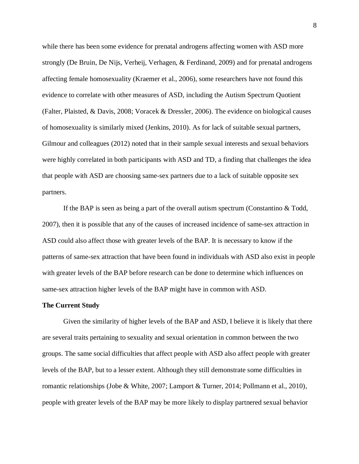while there has been some evidence for prenatal androgens affecting women with ASD more strongly (De Bruin, De Nijs, Verheij, Verhagen, & Ferdinand, 2009) and for prenatal androgens affecting female homosexuality (Kraemer et al., 2006), some researchers have not found this evidence to correlate with other measures of ASD, including the Autism Spectrum Quotient (Falter, Plaisted, & Davis, 2008; Voracek & Dressler, 2006). The evidence on biological causes of homosexuality is similarly mixed (Jenkins, 2010). As for lack of suitable sexual partners, Gilmour and colleagues (2012) noted that in their sample sexual interests and sexual behaviors were highly correlated in both participants with ASD and TD, a finding that challenges the idea that people with ASD are choosing same-sex partners due to a lack of suitable opposite sex partners.

If the BAP is seen as being a part of the overall autism spectrum (Constantino & Todd, 2007), then it is possible that any of the causes of increased incidence of same-sex attraction in ASD could also affect those with greater levels of the BAP. It is necessary to know if the patterns of same-sex attraction that have been found in individuals with ASD also exist in people with greater levels of the BAP before research can be done to determine which influences on same-sex attraction higher levels of the BAP might have in common with ASD.

#### **The Current Study**

Given the similarity of higher levels of the BAP and ASD, I believe it is likely that there are several traits pertaining to sexuality and sexual orientation in common between the two groups. The same social difficulties that affect people with ASD also affect people with greater levels of the BAP, but to a lesser extent. Although they still demonstrate some difficulties in romantic relationships (Jobe & White, 2007; Lamport & Turner, 2014; Pollmann et al., 2010), people with greater levels of the BAP may be more likely to display partnered sexual behavior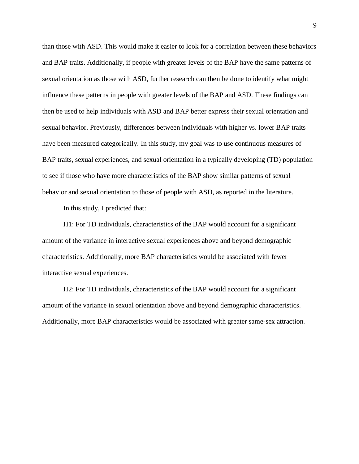than those with ASD. This would make it easier to look for a correlation between these behaviors and BAP traits. Additionally, if people with greater levels of the BAP have the same patterns of sexual orientation as those with ASD, further research can then be done to identify what might influence these patterns in people with greater levels of the BAP and ASD. These findings can then be used to help individuals with ASD and BAP better express their sexual orientation and sexual behavior. Previously, differences between individuals with higher vs. lower BAP traits have been measured categorically. In this study, my goal was to use continuous measures of BAP traits, sexual experiences, and sexual orientation in a typically developing (TD) population to see if those who have more characteristics of the BAP show similar patterns of sexual behavior and sexual orientation to those of people with ASD, as reported in the literature.

In this study, I predicted that:

H1: For TD individuals, characteristics of the BAP would account for a significant amount of the variance in interactive sexual experiences above and beyond demographic characteristics. Additionally, more BAP characteristics would be associated with fewer interactive sexual experiences.

H2: For TD individuals, characteristics of the BAP would account for a significant amount of the variance in sexual orientation above and beyond demographic characteristics. Additionally, more BAP characteristics would be associated with greater same-sex attraction.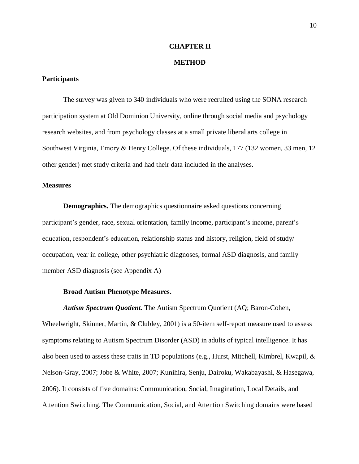#### **CHAPTER II**

#### **METHOD**

#### **Participants**

The survey was given to 340 individuals who were recruited using the SONA research participation system at Old Dominion University, online through social media and psychology research websites, and from psychology classes at a small private liberal arts college in Southwest Virginia, Emory & Henry College. Of these individuals, 177 (132 women, 33 men, 12 other gender) met study criteria and had their data included in the analyses.

#### **Measures**

**Demographics.** The demographics questionnaire asked questions concerning participant's gender, race, sexual orientation, family income, participant's income, parent's education, respondent's education, relationship status and history, religion, field of study/ occupation, year in college, other psychiatric diagnoses, formal ASD diagnosis, and family member ASD diagnosis (see Appendix A)

#### **Broad Autism Phenotype Measures.**

*Autism Spectrum Quotient.* The Autism Spectrum Quotient (AQ; Baron-Cohen, Wheelwright, Skinner, Martin, & Clubley, 2001) is a 50-item self-report measure used to assess symptoms relating to Autism Spectrum Disorder (ASD) in adults of typical intelligence. It has also been used to assess these traits in TD populations (e.g., Hurst, Mitchell, Kimbrel, Kwapil, & Nelson-Gray, 2007; Jobe & White, 2007; Kunihira, Senju, Dairoku, Wakabayashi, & Hasegawa, 2006). It consists of five domains: Communication, Social, Imagination, Local Details, and Attention Switching. The Communication, Social, and Attention Switching domains were based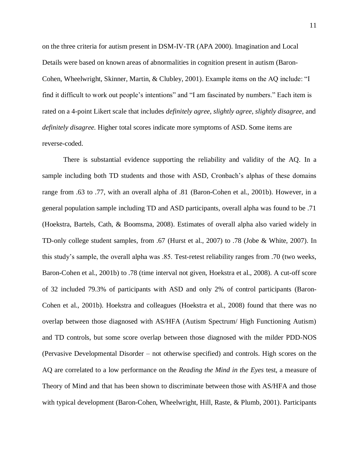on the three criteria for autism present in DSM-IV-TR (APA 2000). Imagination and Local Details were based on known areas of abnormalities in cognition present in autism (Baron-Cohen, Wheelwright, Skinner, Martin, & Clubley, 2001). Example items on the AQ include: "I find it difficult to work out people's intentions" and "I am fascinated by numbers." Each item is rated on a 4-point Likert scale that includes *definitely agree, slightly agree, slightly disagree,* and *definitely disagree.* Higher total scores indicate more symptoms of ASD. Some items are reverse-coded.

There is substantial evidence supporting the reliability and validity of the AQ. In a sample including both TD students and those with ASD, Cronbach's alphas of these domains range from .63 to .77, with an overall alpha of .81 (Baron-Cohen et al., 2001b). However, in a general population sample including TD and ASD participants, overall alpha was found to be .71 (Hoekstra, Bartels, Cath, & Boomsma, 2008). Estimates of overall alpha also varied widely in TD-only college student samples, from .67 (Hurst et al., 2007) to .78 (Jobe & White, 2007). In this study's sample, the overall alpha was .85. Test-retest reliability ranges from .70 (two weeks, Baron-Cohen et al., 2001b) to .78 (time interval not given, Hoekstra et al., 2008). A cut-off score of 32 included 79.3% of participants with ASD and only 2% of control participants (Baron-Cohen et al., 2001b). Hoekstra and colleagues (Hoekstra et al., 2008) found that there was no overlap between those diagnosed with AS/HFA (Autism Spectrum/ High Functioning Autism) and TD controls, but some score overlap between those diagnosed with the milder PDD-NOS (Pervasive Developmental Disorder – not otherwise specified) and controls. High scores on the AQ are correlated to a low performance on the *Reading the Mind in the Eyes* test, a measure of Theory of Mind and that has been shown to discriminate between those with AS/HFA and those with typical development (Baron-Cohen, Wheelwright, Hill, Raste, & Plumb, 2001). Participants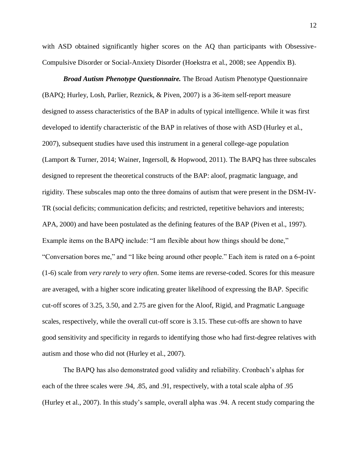with ASD obtained significantly higher scores on the AQ than participants with Obsessive-Compulsive Disorder or Social-Anxiety Disorder (Hoekstra et al., 2008; see Appendix B).

*Broad Autism Phenotype Questionnaire.* The Broad Autism Phenotype Questionnaire (BAPQ; Hurley, Losh, Parlier, Reznick, & Piven, 2007) is a 36-item self-report measure designed to assess characteristics of the BAP in adults of typical intelligence. While it was first developed to identify characteristic of the BAP in relatives of those with ASD (Hurley et al., 2007), subsequent studies have used this instrument in a general college-age population (Lamport & Turner, 2014; Wainer, Ingersoll, & Hopwood, 2011). The BAPQ has three subscales designed to represent the theoretical constructs of the BAP: aloof, pragmatic language, and rigidity. These subscales map onto the three domains of autism that were present in the DSM-IV-TR (social deficits; communication deficits; and restricted, repetitive behaviors and interests; APA, 2000) and have been postulated as the defining features of the BAP (Piven et al., 1997). Example items on the BAPQ include: "I am flexible about how things should be done," "Conversation bores me," and "I like being around other people." Each item is rated on a 6-point (1-6) scale from *very rarely* to *very often*. Some items are reverse-coded. Scores for this measure are averaged, with a higher score indicating greater likelihood of expressing the BAP. Specific cut-off scores of 3.25, 3.50, and 2.75 are given for the Aloof, Rigid, and Pragmatic Language scales, respectively, while the overall cut-off score is 3.15. These cut-offs are shown to have good sensitivity and specificity in regards to identifying those who had first-degree relatives with autism and those who did not (Hurley et al., 2007).

The BAPQ has also demonstrated good validity and reliability. Cronbach's alphas for each of the three scales were .94, .85, and .91, respectively, with a total scale alpha of .95 (Hurley et al., 2007). In this study's sample, overall alpha was .94. A recent study comparing the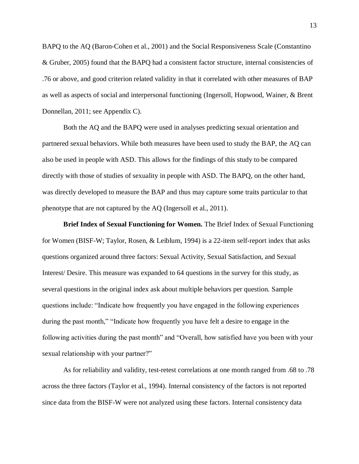BAPQ to the AQ (Baron-Cohen et al., 2001) and the Social Responsiveness Scale (Constantino & Gruber, 2005) found that the BAPQ had a consistent factor structure, internal consistencies of .76 or above, and good criterion related validity in that it correlated with other measures of BAP as well as aspects of social and interpersonal functioning (Ingersoll, Hopwood, Wainer, & Brent Donnellan, 2011; see Appendix C).

Both the AQ and the BAPQ were used in analyses predicting sexual orientation and partnered sexual behaviors. While both measures have been used to study the BAP, the AQ can also be used in people with ASD. This allows for the findings of this study to be compared directly with those of studies of sexuality in people with ASD. The BAPQ, on the other hand, was directly developed to measure the BAP and thus may capture some traits particular to that phenotype that are not captured by the AQ (Ingersoll et al., 2011).

**Brief Index of Sexual Functioning for Women.** The Brief Index of Sexual Functioning for Women (BISF-W; Taylor, Rosen, & Leiblum, 1994) is a 22-item self-report index that asks questions organized around three factors: Sexual Activity, Sexual Satisfaction, and Sexual Interest/ Desire. This measure was expanded to 64 questions in the survey for this study, as several questions in the original index ask about multiple behaviors per question. Sample questions include: "Indicate how frequently you have engaged in the following experiences during the past month," "Indicate how frequently you have felt a desire to engage in the following activities during the past month" and "Overall, how satisfied have you been with your sexual relationship with your partner?"

As for reliability and validity, test-retest correlations at one month ranged from .68 to .78 across the three factors (Taylor et al., 1994). Internal consistency of the factors is not reported since data from the BISF-W were not analyzed using these factors. Internal consistency data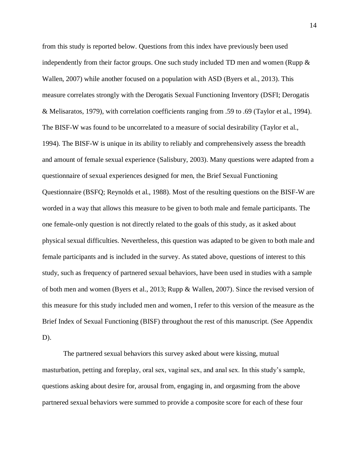from this study is reported below. Questions from this index have previously been used independently from their factor groups. One such study included TD men and women (Rupp  $\&$ Wallen, 2007) while another focused on a population with ASD (Byers et al., 2013). This measure correlates strongly with the Derogatis Sexual Functioning Inventory (DSFI; Derogatis & Melisaratos, 1979), with correlation coefficients ranging from .59 to .69 (Taylor et al., 1994). The BISF-W was found to be uncorrelated to a measure of social desirability (Taylor et al., 1994). The BISF-W is unique in its ability to reliably and comprehensively assess the breadth and amount of female sexual experience (Salisbury, 2003). Many questions were adapted from a questionnaire of sexual experiences designed for men, the Brief Sexual Functioning Questionnaire (BSFQ; Reynolds et al., 1988). Most of the resulting questions on the BISF-W are worded in a way that allows this measure to be given to both male and female participants. The one female-only question is not directly related to the goals of this study, as it asked about physical sexual difficulties. Nevertheless, this question was adapted to be given to both male and female participants and is included in the survey. As stated above, questions of interest to this study, such as frequency of partnered sexual behaviors, have been used in studies with a sample of both men and women (Byers et al., 2013; Rupp & Wallen, 2007). Since the revised version of this measure for this study included men and women, I refer to this version of the measure as the Brief Index of Sexual Functioning (BISF) throughout the rest of this manuscript. (See Appendix D).

The partnered sexual behaviors this survey asked about were kissing, mutual masturbation, petting and foreplay, oral sex, vaginal sex, and anal sex. In this study's sample, questions asking about desire for, arousal from, engaging in, and orgasming from the above partnered sexual behaviors were summed to provide a composite score for each of these four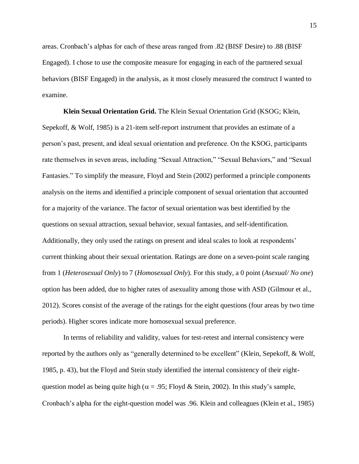areas. Cronbach's alphas for each of these areas ranged from .82 (BISF Desire) to .88 (BISF Engaged). I chose to use the composite measure for engaging in each of the partnered sexual behaviors (BISF Engaged) in the analysis, as it most closely measured the construct I wanted to examine.

**Klein Sexual Orientation Grid.** The Klein Sexual Orientation Grid (KSOG; Klein, Sepekoff, & Wolf, 1985) is a 21-item self-report instrument that provides an estimate of a person's past, present, and ideal sexual orientation and preference. On the KSOG, participants rate themselves in seven areas, including "Sexual Attraction," "Sexual Behaviors," and "Sexual Fantasies." To simplify the measure, Floyd and Stein (2002) performed a principle components analysis on the items and identified a principle component of sexual orientation that accounted for a majority of the variance. The factor of sexual orientation was best identified by the questions on sexual attraction, sexual behavior, sexual fantasies, and self-identification. Additionally, they only used the ratings on present and ideal scales to look at respondents' current thinking about their sexual orientation. Ratings are done on a seven-point scale ranging from 1 (*Heterosexual Only*) to 7 (*Homosexual Only*). For this study, a 0 point (*Asexual/ No one*) option has been added, due to higher rates of asexuality among those with ASD (Gilmour et al., 2012). Scores consist of the average of the ratings for the eight questions (four areas by two time periods). Higher scores indicate more homosexual sexual preference.

In terms of reliability and validity, values for test-retest and internal consistency were reported by the authors only as "generally determined to be excellent" (Klein, Sepekoff, & Wolf, 1985, p. 43), but the Floyd and Stein study identified the internal consistency of their eightquestion model as being quite high ( $\alpha$  = .95; Floyd & Stein, 2002). In this study's sample, Cronbach's alpha for the eight-question model was .96. Klein and colleagues (Klein et al., 1985)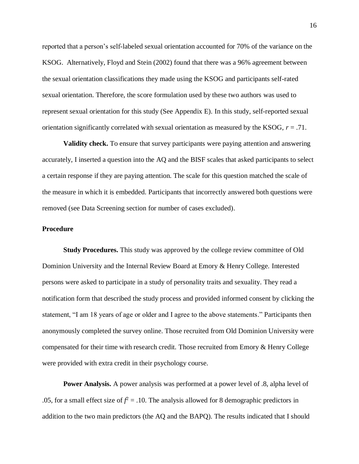reported that a person's self-labeled sexual orientation accounted for 70% of the variance on the KSOG. Alternatively, Floyd and Stein (2002) found that there was a 96% agreement between the sexual orientation classifications they made using the KSOG and participants self-rated sexual orientation. Therefore, the score formulation used by these two authors was used to represent sexual orientation for this study (See Appendix E). In this study, self-reported sexual orientation significantly correlated with sexual orientation as measured by the KSOG, *r* = .71.

**Validity check.** To ensure that survey participants were paying attention and answering accurately, I inserted a question into the AQ and the BISF scales that asked participants to select a certain response if they are paying attention. The scale for this question matched the scale of the measure in which it is embedded. Participants that incorrectly answered both questions were removed (see Data Screening section for number of cases excluded).

#### **Procedure**

**Study Procedures.** This study was approved by the college review committee of Old Dominion University and the Internal Review Board at Emory & Henry College. Interested persons were asked to participate in a study of personality traits and sexuality. They read a notification form that described the study process and provided informed consent by clicking the statement, "I am 18 years of age or older and I agree to the above statements." Participants then anonymously completed the survey online. Those recruited from Old Dominion University were compensated for their time with research credit. Those recruited from Emory & Henry College were provided with extra credit in their psychology course.

**Power Analysis.** A power analysis was performed at a power level of .8, alpha level of .05, for a small effect size of  $f^2 = 0.10$ . The analysis allowed for 8 demographic predictors in addition to the two main predictors (the AQ and the BAPQ). The results indicated that I should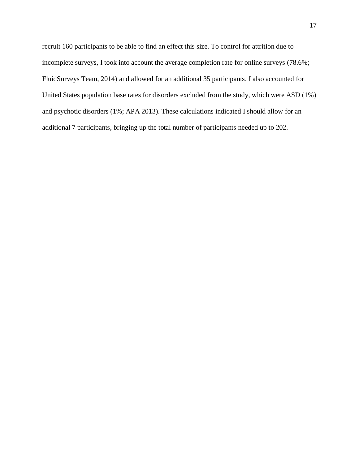recruit 160 participants to be able to find an effect this size. To control for attrition due to incomplete surveys, I took into account the average completion rate for online surveys (78.6%; FluidSurveys Team, 2014) and allowed for an additional 35 participants. I also accounted for United States population base rates for disorders excluded from the study, which were ASD (1%) and psychotic disorders (1%; APA 2013). These calculations indicated I should allow for an additional 7 participants, bringing up the total number of participants needed up to 202.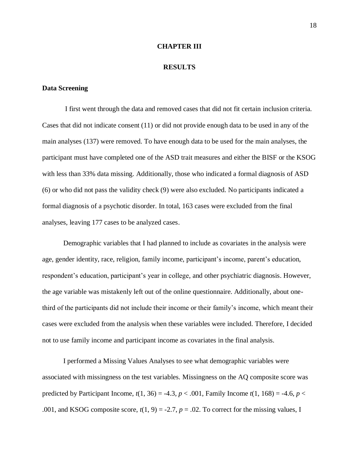#### **CHAPTER III**

#### **RESULTS**

#### **Data Screening**

I first went through the data and removed cases that did not fit certain inclusion criteria. Cases that did not indicate consent (11) or did not provide enough data to be used in any of the main analyses (137) were removed. To have enough data to be used for the main analyses, the participant must have completed one of the ASD trait measures and either the BISF or the KSOG with less than 33% data missing. Additionally, those who indicated a formal diagnosis of ASD (6) or who did not pass the validity check (9) were also excluded. No participants indicated a formal diagnosis of a psychotic disorder. In total, 163 cases were excluded from the final analyses, leaving 177 cases to be analyzed cases.

Demographic variables that I had planned to include as covariates in the analysis were age, gender identity, race, religion, family income, participant's income, parent's education, respondent's education, participant's year in college, and other psychiatric diagnosis. However, the age variable was mistakenly left out of the online questionnaire. Additionally, about onethird of the participants did not include their income or their family's income, which meant their cases were excluded from the analysis when these variables were included. Therefore, I decided not to use family income and participant income as covariates in the final analysis.

I performed a Missing Values Analyses to see what demographic variables were associated with missingness on the test variables. Missingness on the AQ composite score was predicted by Participant Income,  $t(1, 36) = -4.3$ ,  $p < .001$ , Family Income  $t(1, 168) = -4.6$ ,  $p <$ .001, and KSOG composite score,  $t(1, 9) = -2.7$ ,  $p = .02$ . To correct for the missing values, I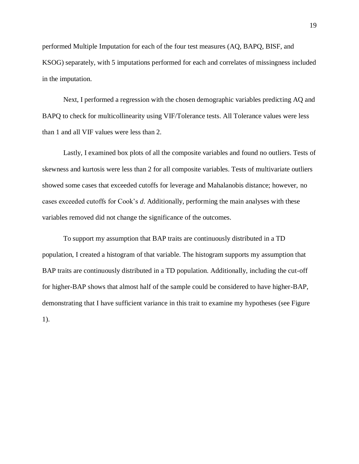performed Multiple Imputation for each of the four test measures (AQ, BAPQ, BISF, and KSOG) separately, with 5 imputations performed for each and correlates of missingness included in the imputation.

Next, I performed a regression with the chosen demographic variables predicting AQ and BAPQ to check for multicollinearity using VIF/Tolerance tests. All Tolerance values were less than 1 and all VIF values were less than 2.

Lastly, I examined box plots of all the composite variables and found no outliers. Tests of skewness and kurtosis were less than 2 for all composite variables. Tests of multivariate outliers showed some cases that exceeded cutoffs for leverage and Mahalanobis distance; however, no cases exceeded cutoffs for Cook's *d*. Additionally, performing the main analyses with these variables removed did not change the significance of the outcomes.

To support my assumption that BAP traits are continuously distributed in a TD population, I created a histogram of that variable. The histogram supports my assumption that BAP traits are continuously distributed in a TD population. Additionally, including the cut-off for higher-BAP shows that almost half of the sample could be considered to have higher-BAP, demonstrating that I have sufficient variance in this trait to examine my hypotheses (see Figure 1).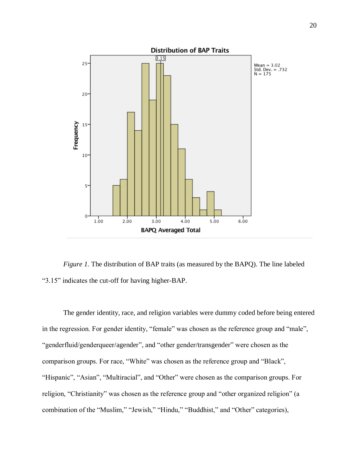

*Figure 1.* The distribution of BAP traits (as measured by the BAPQ). The line labeled "3.15" indicates the cut-off for having higher-BAP.

The gender identity, race, and religion variables were dummy coded before being entered in the regression. For gender identity, "female" was chosen as the reference group and "male", "genderfluid/genderqueer/agender", and "other gender/transgender" were chosen as the comparison groups. For race, "White" was chosen as the reference group and "Black", "Hispanic", "Asian", "Multiracial", and "Other" were chosen as the comparison groups. For religion, "Christianity" was chosen as the reference group and "other organized religion" (a combination of the "Muslim," "Jewish," "Hindu," "Buddhist," and "Other" categories),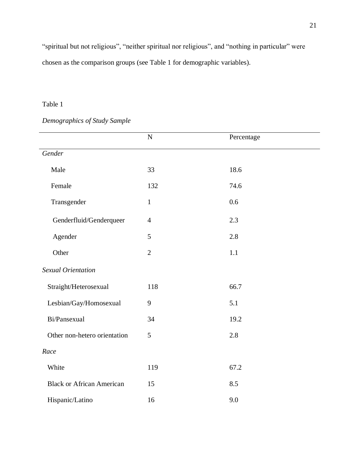"spiritual but not religious", "neither spiritual nor religious", and "nothing in particular" were chosen as the comparison groups (see Table 1 for demographic variables).

## Table 1

## *Demographics of Study Sample*

|                                  | $\mathbf N$    | Percentage |
|----------------------------------|----------------|------------|
| Gender                           |                |            |
| Male                             | 33             | 18.6       |
| Female                           | 132            | 74.6       |
| Transgender                      | $\mathbf{1}$   | 0.6        |
| Genderfluid/Genderqueer          | $\overline{4}$ | 2.3        |
| Agender                          | 5              | 2.8        |
| Other                            | $\overline{2}$ | 1.1        |
| Sexual Orientation               |                |            |
| Straight/Heterosexual            | 118            | 66.7       |
| Lesbian/Gay/Homosexual           | 9              | 5.1        |
| Bi/Pansexual                     | 34             | 19.2       |
| Other non-hetero orientation     | 5              | 2.8        |
| Race                             |                |            |
| White                            | 119            | 67.2       |
| <b>Black or African American</b> | 15             | 8.5        |
| Hispanic/Latino                  | 16             | 9.0        |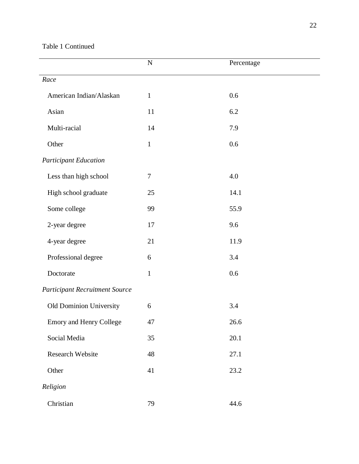## Table 1 Continued

|                                       | ${\bf N}$    | Percentage |
|---------------------------------------|--------------|------------|
| Race                                  |              |            |
| American Indian/Alaskan               | $\mathbf{1}$ | 0.6        |
| Asian                                 | 11           | 6.2        |
| Multi-racial                          | 14           | 7.9        |
| Other                                 | $\mathbf{1}$ | 0.6        |
| <b>Participant Education</b>          |              |            |
| Less than high school                 | $\tau$       | 4.0        |
| High school graduate                  | 25           | 14.1       |
| Some college                          | 99           | 55.9       |
| 2-year degree                         | 17           | 9.6        |
| 4-year degree                         | 21           | 11.9       |
| Professional degree                   | 6            | 3.4        |
| Doctorate                             | $\mathbf{1}$ | 0.6        |
| <b>Participant Recruitment Source</b> |              |            |
| Old Dominion University               | 6            | 3.4        |
| <b>Emory and Henry College</b>        | 47           | 26.6       |
| Social Media                          | 35           | $20.1\,$   |
| <b>Research Website</b>               | 48           | 27.1       |
| Other                                 | 41           | 23.2       |
| Religion                              |              |            |
| Christian                             | 79           | 44.6       |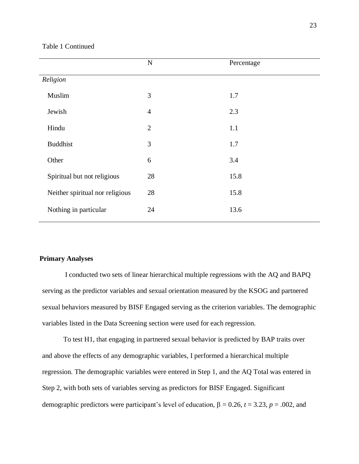#### Table 1 Continued

|                                 | ${\bf N}$      | Percentage |
|---------------------------------|----------------|------------|
| Religion                        |                |            |
| Muslim                          | 3              | 1.7        |
| Jewish                          | $\overline{4}$ | 2.3        |
| Hindu                           | $\overline{2}$ | 1.1        |
| <b>Buddhist</b>                 | 3              | 1.7        |
| Other                           | 6              | 3.4        |
| Spiritual but not religious     | 28             | 15.8       |
| Neither spiritual nor religious | 28             | 15.8       |
| Nothing in particular           | 24             | 13.6       |

#### **Primary Analyses**

I conducted two sets of linear hierarchical multiple regressions with the AQ and BAPQ serving as the predictor variables and sexual orientation measured by the KSOG and partnered sexual behaviors measured by BISF Engaged serving as the criterion variables. The demographic variables listed in the Data Screening section were used for each regression.

To test H1, that engaging in partnered sexual behavior is predicted by BAP traits over and above the effects of any demographic variables, I performed a hierarchical multiple regression. The demographic variables were entered in Step 1, and the AQ Total was entered in Step 2, with both sets of variables serving as predictors for BISF Engaged. Significant demographic predictors were participant's level of education,  $\beta = 0.26$ ,  $t = 3.23$ ,  $p = .002$ , and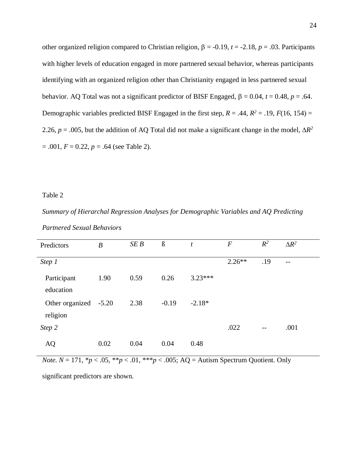other organized religion compared to Christian religion,  $\beta = -0.19$ ,  $t = -2.18$ ,  $p = .03$ . Participants with higher levels of education engaged in more partnered sexual behavior, whereas participants identifying with an organized religion other than Christianity engaged in less partnered sexual behavior. AQ Total was not a significant predictor of BISF Engaged,  $\beta = 0.04$ ,  $t = 0.48$ ,  $p = .64$ . Demographic variables predicted BISF Engaged in the first step,  $R = .44$ ,  $R^2 = .19$ ,  $F(16, 154) =$ 2.26,  $p = .005$ , but the addition of AQ Total did not make a significant change in the model,  $\Delta R^2$  $= .001, F = 0.22, p = .64$  (see Table 2).

#### Table 2

*Summary of Hierarchal Regression Analyses for Demographic Variables and AQ Predicting Partnered Sexual Behaviors*

| Predictors                        | $\boldsymbol{B}$ | SEB  | $\boldsymbol{\beta}$ | t         | $\boldsymbol{F}$ | $R^2$                    | $\Delta R^2$ |
|-----------------------------------|------------------|------|----------------------|-----------|------------------|--------------------------|--------------|
| Step 1                            |                  |      |                      |           | $2.26**$         | .19                      | $-$          |
| Participant<br>education          | 1.90             | 0.59 | 0.26                 | $3.23***$ |                  |                          |              |
| Other organized -5.20<br>religion |                  | 2.38 | $-0.19$              | $-2.18*$  |                  |                          |              |
| Step 2                            |                  |      |                      |           | .022             | $\overline{\phantom{m}}$ | .001         |
| AQ                                | 0.02             | 0.04 | 0.04                 | 0.48      |                  |                          |              |

*Note.*  $N = 171$ ,  $* p < .05$ ,  $* p < .01$ ,  $* * p < .005$ ;  $AQ =$  Autism Spectrum Quotient. Only

significant predictors are shown.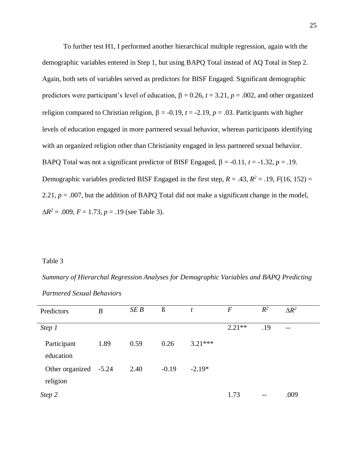To further test H1, I performed another hierarchical multiple regression, again with the demographic variables entered in Step 1, but using BAPQ Total instead of AQ Total in Step 2. Again, both sets of variables served as predictors for BISF Engaged. Significant demographic predictors were participant's level of education,  $\beta = 0.26$ ,  $t = 3.21$ ,  $p = .002$ , and other organized religion compared to Christian religion,  $\beta = -0.19$ ,  $t = -2.19$ ,  $p = .03$ . Participants with higher levels of education engaged in more partnered sexual behavior, whereas participants identifying with an organized religion other than Christianity engaged in less partnered sexual behavior. BAPQ Total was not a significant predictor of BISF Engaged,  $\beta = -0.11$ ,  $t = -1.32$ ,  $p = .19$ . Demographic variables predicted BISF Engaged in the first step,  $R = .43$ ,  $R^2 = .19$ ,  $F(16, 152) =$ 2.21,  $p = .007$ , but the addition of BAPQ Total did not make a significant change in the model,  $\Delta R^2$  = .009, *F* = 1.73, *p* = .19 (see Table 3).

#### Table 3

*Summary of Hierarchal Regression Analyses for Demographic Variables and BAPQ Predicting Partnered Sexual Behaviors*

| Predictors                        | $\boldsymbol{B}$ | SE B | $\boldsymbol{\beta}$ | t         | $\overline{F}$ | $R^2$ | $\Delta R^2$             |
|-----------------------------------|------------------|------|----------------------|-----------|----------------|-------|--------------------------|
| Step 1                            |                  |      |                      |           | $2.21**$       | .19   | $\overline{\phantom{m}}$ |
| Participant<br>education          | 1.89             | 0.59 | 0.26                 | $3.21***$ |                |       |                          |
| Other organized -5.24<br>religion |                  | 2.40 | $-0.19$              | $-2.19*$  |                |       |                          |
| Step 2                            |                  |      |                      |           | 1.73           | $- -$ | .009                     |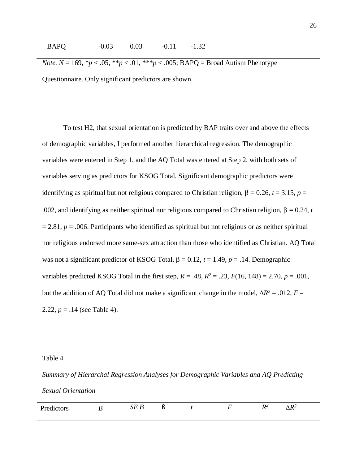*Note.*  $N = 169$ ,  ${}^*p < .05$ ,  ${}^{**}p < .01$ ,  ${}^{**}p < .005$ ; BAPQ = Broad Autism Phenotype Questionnaire. Only significant predictors are shown.

To test H2, that sexual orientation is predicted by BAP traits over and above the effects of demographic variables, I performed another hierarchical regression. The demographic variables were entered in Step 1, and the AQ Total was entered at Step 2, with both sets of variables serving as predictors for KSOG Total. Significant demographic predictors were identifying as spiritual but not religious compared to Christian religion,  $\beta = 0.26$ ,  $t = 3.15$ ,  $p =$ .002, and identifying as neither spiritual nor religious compared to Christian religion,  $\beta = 0.24$ , *t*  $= 2.81, p = .006$ . Participants who identified as spiritual but not religious or as neither spiritual nor religious endorsed more same-sex attraction than those who identified as Christian. AQ Total was not a significant predictor of KSOG Total,  $\beta = 0.12$ ,  $t = 1.49$ ,  $p = .14$ . Demographic variables predicted KSOG Total in the first step,  $R = .48$ ,  $R^2 = .23$ ,  $F(16, 148) = 2.70$ ,  $p = .001$ , but the addition of AQ Total did not make a significant change in the model,  $\Delta R^2 = .012$ ,  $F =$ 2.22,  $p = .14$  (see Table 4).

#### Table 4

*Summary of Hierarchal Regression Analyses for Demographic Variables and AQ Predicting Sexual Orientation*

| л. | P | $ -$ | w |  | $\sim$<br>$\mathbf{v}$ | $\overline{\phantom{a}}$ |
|----|---|------|---|--|------------------------|--------------------------|
|    |   |      |   |  |                        |                          |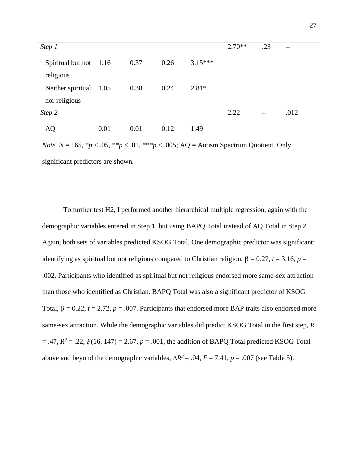| Step 1                 |      |      |      |           | $2.70**$ | .23               | $\overline{\phantom{m}}$ |
|------------------------|------|------|------|-----------|----------|-------------------|--------------------------|
|                        |      |      |      |           |          |                   |                          |
| Spiritual but not 1.16 |      | 0.37 | 0.26 | $3.15***$ |          |                   |                          |
|                        |      |      |      |           |          |                   |                          |
| religious              |      |      |      |           |          |                   |                          |
| Neither spiritual      | 1.05 | 0.38 | 0.24 | $2.81*$   |          |                   |                          |
|                        |      |      |      |           |          |                   |                          |
| nor religious          |      |      |      |           |          |                   |                          |
| Step 2                 |      |      |      |           | 2.22     | $\qquad \qquad -$ | .012                     |
|                        |      |      |      |           |          |                   |                          |
|                        | 0.01 | 0.01 | 0.12 | 1.49      |          |                   |                          |
| AQ                     |      |      |      |           |          |                   |                          |

*Note.*  $N = 165$ ,  ${}^*p < .05$ ,  ${}^{**}p < .01$ ,  ${}^{**}p < .005$ ; AQ = Autism Spectrum Quotient. Only significant predictors are shown.

To further test H2, I performed another hierarchical multiple regression, again with the demographic variables entered in Step 1, but using BAPQ Total instead of AQ Total in Step 2. Again, both sets of variables predicted KSOG Total. One demographic predictor was significant: identifying as spiritual but not religious compared to Christian religion,  $\beta = 0.27$ ,  $t = 3.16$ ,  $p =$ .002. Participants who identified as spiritual but not religious endorsed more same-sex attraction than those who identified as Christian. BAPQ Total was also a significant predictor of KSOG Total,  $\beta = 0.22$ ,  $t = 2.72$ ,  $p = .007$ . Participants that endorsed more BAP traits also endorsed more same-sex attraction. While the demographic variables did predict KSOG Total in the first step, *R*  $= .47, R^2 = .22, F(16, 147) = 2.67, p = .001$ , the addition of BAPQ Total predicted KSOG Total above and beyond the demographic variables,  $\Delta R^2 = .04$ ,  $F = 7.41$ ,  $p = .007$  (see Table 5).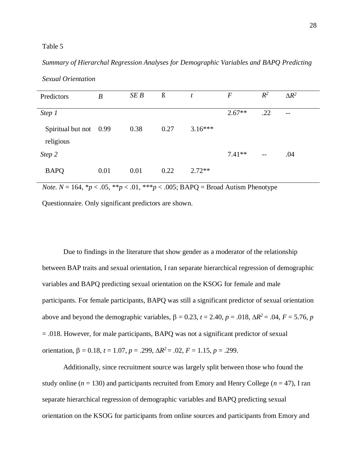### Table 5

# *Summary of Hierarchal Regression Analyses for Demographic Variables and BAPQ Predicting*

| Predictors                          | B    | SE B | $\beta$ | t         | $\boldsymbol{F}$ | $R^2$ | $\Delta R^2$             |
|-------------------------------------|------|------|---------|-----------|------------------|-------|--------------------------|
| Step 1                              |      |      |         |           | $2.67**$         | .22   | $\overline{\phantom{m}}$ |
| Spiritual but not 0.99<br>religious |      | 0.38 | 0.27    | $3.16***$ |                  |       |                          |
| Step 2                              |      |      |         |           | $7.41**$         | $- -$ | .04                      |
| <b>BAPQ</b>                         | 0.01 | 0.01 | 0.22    | $2.72**$  |                  |       |                          |

*Sexual Orientation*

*Note.*  $N = 164$ ,  $p < .05$ ,  $p < .01$ ,  $p > .005$ ; BAPQ = Broad Autism Phenotype

Questionnaire. Only significant predictors are shown.

Due to findings in the literature that show gender as a moderator of the relationship between BAP traits and sexual orientation, I ran separate hierarchical regression of demographic variables and BAPQ predicting sexual orientation on the KSOG for female and male participants. For female participants, BAPQ was still a significant predictor of sexual orientation above and beyond the demographic variables,  $\beta = 0.23$ ,  $t = 2.40$ ,  $p = .018$ ,  $\Delta R^2 = .04$ ,  $F = 5.76$ ,  $p$ = .018. However, for male participants, BAPQ was not a significant predictor of sexual orientation,  $\beta = 0.18$ ,  $t = 1.07$ ,  $p = .299$ ,  $\Delta R^2 = .02$ ,  $F = 1.15$ ,  $p = .299$ .

Additionally, since recruitment source was largely split between those who found the study online ( $n = 130$ ) and participants recruited from Emory and Henry College ( $n = 47$ ), I ran separate hierarchical regression of demographic variables and BAPQ predicting sexual orientation on the KSOG for participants from online sources and participants from Emory and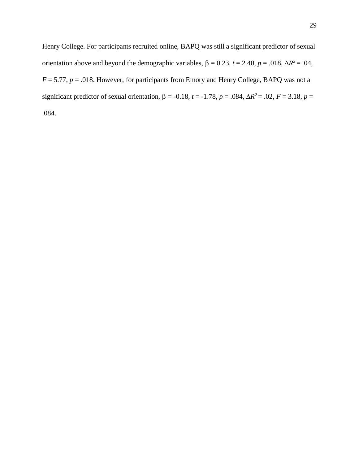Henry College. For participants recruited online, BAPQ was still a significant predictor of sexual orientation above and beyond the demographic variables,  $\beta = 0.23$ ,  $t = 2.40$ ,  $p = .018$ ,  $\Delta R^2 = .04$ ,  $F = 5.77$ ,  $p = .018$ . However, for participants from Emory and Henry College, BAPQ was not a significant predictor of sexual orientation,  $\beta = -0.18$ ,  $t = -1.78$ ,  $p = .084$ ,  $\Delta R^2 = .02$ ,  $F = 3.18$ ,  $p =$ .084.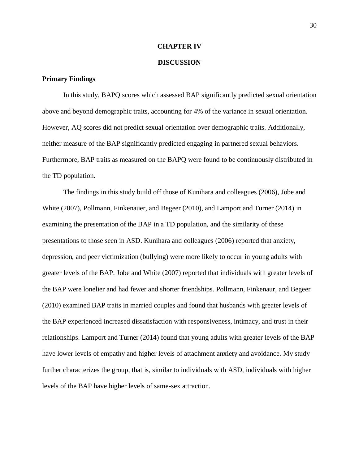### **CHAPTER IV**

### **DISCUSSION**

### **Primary Findings**

In this study, BAPQ scores which assessed BAP significantly predicted sexual orientation above and beyond demographic traits, accounting for 4% of the variance in sexual orientation. However, AQ scores did not predict sexual orientation over demographic traits. Additionally, neither measure of the BAP significantly predicted engaging in partnered sexual behaviors. Furthermore, BAP traits as measured on the BAPQ were found to be continuously distributed in the TD population.

The findings in this study build off those of Kunihara and colleagues (2006), Jobe and White (2007), Pollmann, Finkenauer, and Begeer (2010), and Lamport and Turner (2014) in examining the presentation of the BAP in a TD population, and the similarity of these presentations to those seen in ASD. Kunihara and colleagues (2006) reported that anxiety, depression, and peer victimization (bullying) were more likely to occur in young adults with greater levels of the BAP. Jobe and White (2007) reported that individuals with greater levels of the BAP were lonelier and had fewer and shorter friendships. Pollmann, Finkenaur, and Begeer (2010) examined BAP traits in married couples and found that husbands with greater levels of the BAP experienced increased dissatisfaction with responsiveness, intimacy, and trust in their relationships. Lamport and Turner (2014) found that young adults with greater levels of the BAP have lower levels of empathy and higher levels of attachment anxiety and avoidance. My study further characterizes the group, that is, similar to individuals with ASD, individuals with higher levels of the BAP have higher levels of same-sex attraction.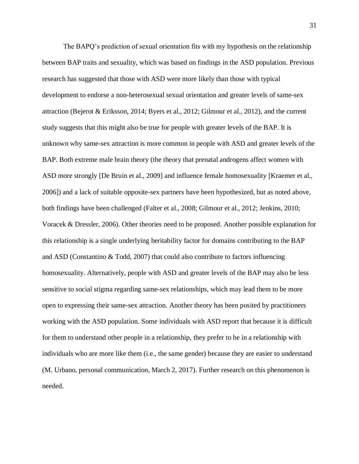The BAPQ's prediction of sexual orientation fits with my hypothesis on the relationship between BAP traits and sexuality, which was based on findings in the ASD population. Previous research has suggested that those with ASD were more likely than those with typical development to endorse a non-heterosexual sexual orientation and greater levels of same-sex attraction (Bejerot & Eriksson, 2014; Byers et al., 2012; Gilmour et al., 2012), and the current study suggests that this might also be true for people with greater levels of the BAP. It is unknown why same-sex attraction is more common in people with ASD and greater levels of the BAP. Both extreme male brain theory (the theory that prenatal androgens affect women with ASD more strongly [De Bruin et al., 2009] and influence female homosexuality [Kraemer et al., 2006]) and a lack of suitable opposite-sex partners have been hypothesized, but as noted above, both findings have been challenged (Falter et al., 2008; Gilmour et al., 2012; Jenkins, 2010; Voracek & Dressler, 2006). Other theories need to be proposed. Another possible explanation for this relationship is a single underlying heritability factor for domains contributing to the BAP and ASD (Constantino & Todd, 2007) that could also contribute to factors influencing homosexuality. Alternatively, people with ASD and greater levels of the BAP may also be less sensitive to social stigma regarding same-sex relationships, which may lead them to be more open to expressing their same-sex attraction. Another theory has been posited by practitioners working with the ASD population. Some individuals with ASD report that because it is difficult for them to understand other people in a relationship, they prefer to be in a relationship with individuals who are more like them (i.e., the same gender) because they are easier to understand (M. Urbano, personal communication, March 2, 2017). Further research on this phenomenon is needed.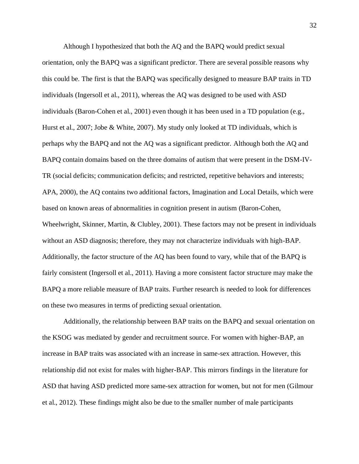Although I hypothesized that both the AQ and the BAPQ would predict sexual orientation, only the BAPQ was a significant predictor. There are several possible reasons why this could be. The first is that the BAPQ was specifically designed to measure BAP traits in TD individuals (Ingersoll et al., 2011), whereas the AQ was designed to be used with ASD individuals (Baron-Cohen et al., 2001) even though it has been used in a TD population (e.g., Hurst et al., 2007; Jobe & White, 2007). My study only looked at TD individuals, which is perhaps why the BAPQ and not the AQ was a significant predictor. Although both the AQ and BAPQ contain domains based on the three domains of autism that were present in the DSM-IV-TR (social deficits; communication deficits; and restricted, repetitive behaviors and interests; APA, 2000), the AQ contains two additional factors, Imagination and Local Details, which were based on known areas of abnormalities in cognition present in autism (Baron-Cohen, Wheelwright, Skinner, Martin, & Clubley, 2001). These factors may not be present in individuals without an ASD diagnosis; therefore, they may not characterize individuals with high-BAP. Additionally, the factor structure of the AQ has been found to vary, while that of the BAPQ is fairly consistent (Ingersoll et al., 2011). Having a more consistent factor structure may make the BAPQ a more reliable measure of BAP traits. Further research is needed to look for differences on these two measures in terms of predicting sexual orientation.

Additionally, the relationship between BAP traits on the BAPQ and sexual orientation on the KSOG was mediated by gender and recruitment source. For women with higher-BAP, an increase in BAP traits was associated with an increase in same-sex attraction. However, this relationship did not exist for males with higher-BAP. This mirrors findings in the literature for ASD that having ASD predicted more same-sex attraction for women, but not for men (Gilmour et al., 2012). These findings might also be due to the smaller number of male participants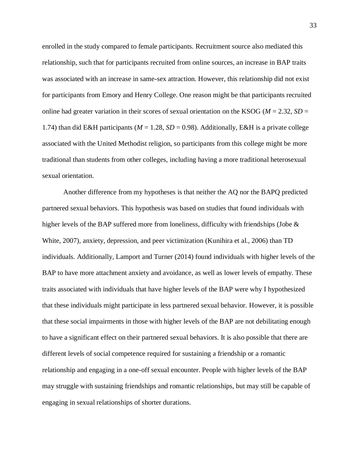enrolled in the study compared to female participants. Recruitment source also mediated this relationship, such that for participants recruited from online sources, an increase in BAP traits was associated with an increase in same-sex attraction. However, this relationship did not exist for participants from Emory and Henry College. One reason might be that participants recruited online had greater variation in their scores of sexual orientation on the KSOG ( $M = 2.32$ ,  $SD =$ 1.74) than did E&H participants ( $M = 1.28$ ,  $SD = 0.98$ ). Additionally, E&H is a private college associated with the United Methodist religion, so participants from this college might be more traditional than students from other colleges, including having a more traditional heterosexual sexual orientation.

Another difference from my hypotheses is that neither the AQ nor the BAPQ predicted partnered sexual behaviors. This hypothesis was based on studies that found individuals with higher levels of the BAP suffered more from loneliness, difficulty with friendships (Jobe & White, 2007), anxiety, depression, and peer victimization (Kunihira et al., 2006) than TD individuals. Additionally, Lamport and Turner (2014) found individuals with higher levels of the BAP to have more attachment anxiety and avoidance, as well as lower levels of empathy. These traits associated with individuals that have higher levels of the BAP were why I hypothesized that these individuals might participate in less partnered sexual behavior. However, it is possible that these social impairments in those with higher levels of the BAP are not debilitating enough to have a significant effect on their partnered sexual behaviors. It is also possible that there are different levels of social competence required for sustaining a friendship or a romantic relationship and engaging in a one-off sexual encounter. People with higher levels of the BAP may struggle with sustaining friendships and romantic relationships, but may still be capable of engaging in sexual relationships of shorter durations.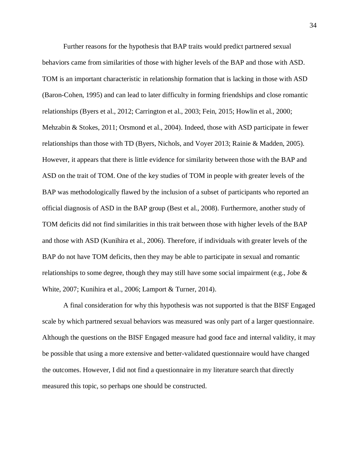Further reasons for the hypothesis that BAP traits would predict partnered sexual behaviors came from similarities of those with higher levels of the BAP and those with ASD. TOM is an important characteristic in relationship formation that is lacking in those with ASD (Baron-Cohen, 1995) and can lead to later difficulty in forming friendships and close romantic relationships (Byers et al., 2012; Carrington et al., 2003; Fein, 2015; Howlin et al., 2000; Mehzabin & Stokes, 2011; Orsmond et al., 2004). Indeed, those with ASD participate in fewer relationships than those with TD (Byers, Nichols, and Voyer 2013; Rainie & Madden, 2005). However, it appears that there is little evidence for similarity between those with the BAP and ASD on the trait of TOM. One of the key studies of TOM in people with greater levels of the BAP was methodologically flawed by the inclusion of a subset of participants who reported an official diagnosis of ASD in the BAP group (Best et al., 2008). Furthermore, another study of TOM deficits did not find similarities in this trait between those with higher levels of the BAP and those with ASD (Kunihira et al., 2006). Therefore, if individuals with greater levels of the BAP do not have TOM deficits, then they may be able to participate in sexual and romantic relationships to some degree, though they may still have some social impairment (e.g., Jobe  $\&$ White, 2007; Kunihira et al., 2006; Lamport & Turner, 2014).

A final consideration for why this hypothesis was not supported is that the BISF Engaged scale by which partnered sexual behaviors was measured was only part of a larger questionnaire. Although the questions on the BISF Engaged measure had good face and internal validity, it may be possible that using a more extensive and better-validated questionnaire would have changed the outcomes. However, I did not find a questionnaire in my literature search that directly measured this topic, so perhaps one should be constructed.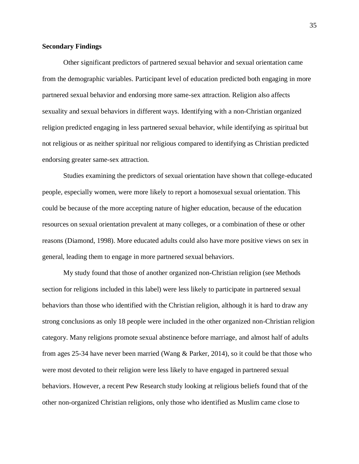### **Secondary Findings**

Other significant predictors of partnered sexual behavior and sexual orientation came from the demographic variables. Participant level of education predicted both engaging in more partnered sexual behavior and endorsing more same-sex attraction. Religion also affects sexuality and sexual behaviors in different ways. Identifying with a non-Christian organized religion predicted engaging in less partnered sexual behavior, while identifying as spiritual but not religious or as neither spiritual nor religious compared to identifying as Christian predicted endorsing greater same-sex attraction.

Studies examining the predictors of sexual orientation have shown that college-educated people, especially women, were more likely to report a homosexual sexual orientation. This could be because of the more accepting nature of higher education, because of the education resources on sexual orientation prevalent at many colleges, or a combination of these or other reasons (Diamond, 1998). More educated adults could also have more positive views on sex in general, leading them to engage in more partnered sexual behaviors.

My study found that those of another organized non-Christian religion (see Methods section for religions included in this label) were less likely to participate in partnered sexual behaviors than those who identified with the Christian religion, although it is hard to draw any strong conclusions as only 18 people were included in the other organized non-Christian religion category. Many religions promote sexual abstinence before marriage, and almost half of adults from ages 25-34 have never been married (Wang & Parker, 2014), so it could be that those who were most devoted to their religion were less likely to have engaged in partnered sexual behaviors. However, a recent Pew Research study looking at religious beliefs found that of the other non-organized Christian religions, only those who identified as Muslim came close to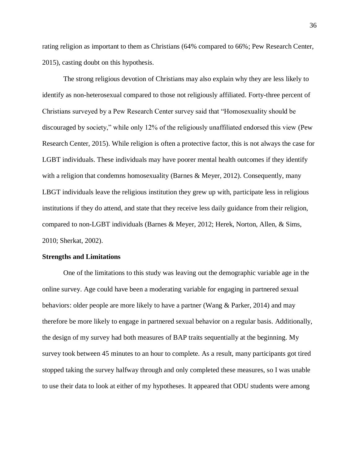rating religion as important to them as Christians (64% compared to 66%; Pew Research Center, 2015), casting doubt on this hypothesis.

The strong religious devotion of Christians may also explain why they are less likely to identify as non-heterosexual compared to those not religiously affiliated. Forty-three percent of Christians surveyed by a Pew Research Center survey said that "Homosexuality should be discouraged by society," while only 12% of the religiously unaffiliated endorsed this view (Pew Research Center, 2015). While religion is often a protective factor, this is not always the case for LGBT individuals. These individuals may have poorer mental health outcomes if they identify with a religion that condemns homosexuality (Barnes & Meyer, 2012). Consequently, many LBGT individuals leave the religious institution they grew up with, participate less in religious institutions if they do attend, and state that they receive less daily guidance from their religion, compared to non-LGBT individuals (Barnes & Meyer, 2012; Herek, Norton, Allen, & Sims, 2010; Sherkat, 2002).

#### **Strengths and Limitations**

One of the limitations to this study was leaving out the demographic variable age in the online survey. Age could have been a moderating variable for engaging in partnered sexual behaviors: older people are more likely to have a partner (Wang & Parker, 2014) and may therefore be more likely to engage in partnered sexual behavior on a regular basis. Additionally, the design of my survey had both measures of BAP traits sequentially at the beginning. My survey took between 45 minutes to an hour to complete. As a result, many participants got tired stopped taking the survey halfway through and only completed these measures, so I was unable to use their data to look at either of my hypotheses. It appeared that ODU students were among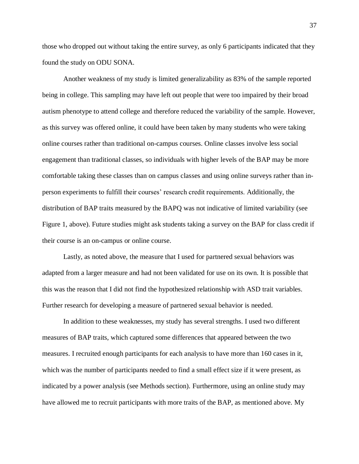those who dropped out without taking the entire survey, as only 6 participants indicated that they found the study on ODU SONA.

Another weakness of my study is limited generalizability as 83% of the sample reported being in college. This sampling may have left out people that were too impaired by their broad autism phenotype to attend college and therefore reduced the variability of the sample. However, as this survey was offered online, it could have been taken by many students who were taking online courses rather than traditional on-campus courses. Online classes involve less social engagement than traditional classes, so individuals with higher levels of the BAP may be more comfortable taking these classes than on campus classes and using online surveys rather than inperson experiments to fulfill their courses' research credit requirements. Additionally, the distribution of BAP traits measured by the BAPQ was not indicative of limited variability (see Figure 1, above). Future studies might ask students taking a survey on the BAP for class credit if their course is an on-campus or online course.

Lastly, as noted above, the measure that I used for partnered sexual behaviors was adapted from a larger measure and had not been validated for use on its own. It is possible that this was the reason that I did not find the hypothesized relationship with ASD trait variables. Further research for developing a measure of partnered sexual behavior is needed.

In addition to these weaknesses, my study has several strengths. I used two different measures of BAP traits, which captured some differences that appeared between the two measures. I recruited enough participants for each analysis to have more than 160 cases in it, which was the number of participants needed to find a small effect size if it were present, as indicated by a power analysis (see Methods section). Furthermore, using an online study may have allowed me to recruit participants with more traits of the BAP, as mentioned above. My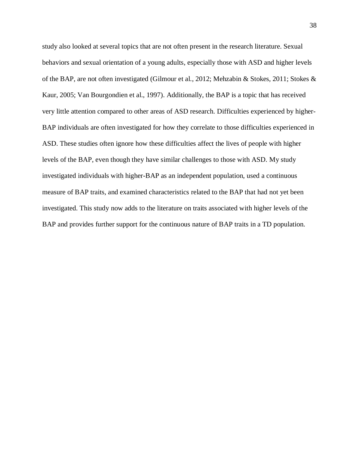study also looked at several topics that are not often present in the research literature. Sexual behaviors and sexual orientation of a young adults, especially those with ASD and higher levels of the BAP, are not often investigated (Gilmour et al., 2012; Mehzabin & Stokes, 2011; Stokes & Kaur, 2005; Van Bourgondien et al., 1997). Additionally, the BAP is a topic that has received very little attention compared to other areas of ASD research. Difficulties experienced by higher-BAP individuals are often investigated for how they correlate to those difficulties experienced in ASD. These studies often ignore how these difficulties affect the lives of people with higher levels of the BAP, even though they have similar challenges to those with ASD. My study investigated individuals with higher-BAP as an independent population, used a continuous measure of BAP traits, and examined characteristics related to the BAP that had not yet been investigated. This study now adds to the literature on traits associated with higher levels of the BAP and provides further support for the continuous nature of BAP traits in a TD population.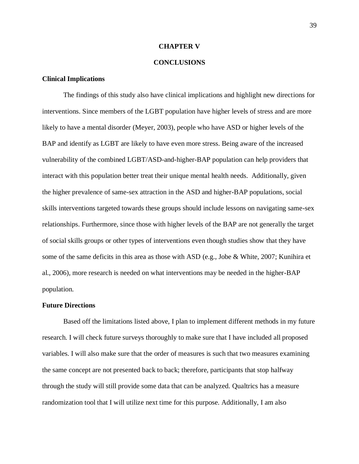#### **CHAPTER V**

### **CONCLUSIONS**

### **Clinical Implications**

The findings of this study also have clinical implications and highlight new directions for interventions. Since members of the LGBT population have higher levels of stress and are more likely to have a mental disorder (Meyer, 2003), people who have ASD or higher levels of the BAP and identify as LGBT are likely to have even more stress. Being aware of the increased vulnerability of the combined LGBT/ASD-and-higher-BAP population can help providers that interact with this population better treat their unique mental health needs. Additionally, given the higher prevalence of same-sex attraction in the ASD and higher-BAP populations, social skills interventions targeted towards these groups should include lessons on navigating same-sex relationships. Furthermore, since those with higher levels of the BAP are not generally the target of social skills groups or other types of interventions even though studies show that they have some of the same deficits in this area as those with ASD (e.g., Jobe & White, 2007; Kunihira et al., 2006), more research is needed on what interventions may be needed in the higher-BAP population.

#### **Future Directions**

Based off the limitations listed above, I plan to implement different methods in my future research. I will check future surveys thoroughly to make sure that I have included all proposed variables. I will also make sure that the order of measures is such that two measures examining the same concept are not presented back to back; therefore, participants that stop halfway through the study will still provide some data that can be analyzed. Qualtrics has a measure randomization tool that I will utilize next time for this purpose. Additionally, I am also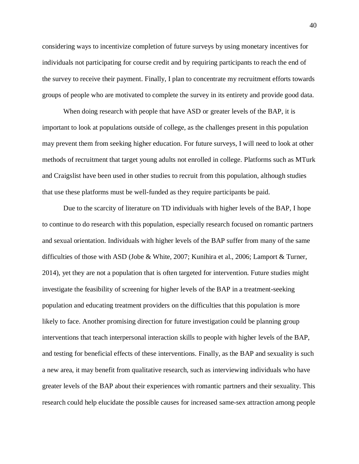considering ways to incentivize completion of future surveys by using monetary incentives for individuals not participating for course credit and by requiring participants to reach the end of the survey to receive their payment. Finally, I plan to concentrate my recruitment efforts towards groups of people who are motivated to complete the survey in its entirety and provide good data.

When doing research with people that have ASD or greater levels of the BAP, it is important to look at populations outside of college, as the challenges present in this population may prevent them from seeking higher education. For future surveys, I will need to look at other methods of recruitment that target young adults not enrolled in college. Platforms such as MTurk and Craigslist have been used in other studies to recruit from this population, although studies that use these platforms must be well-funded as they require participants be paid.

Due to the scarcity of literature on TD individuals with higher levels of the BAP, I hope to continue to do research with this population, especially research focused on romantic partners and sexual orientation. Individuals with higher levels of the BAP suffer from many of the same difficulties of those with ASD (Jobe & White, 2007; Kunihira et al., 2006; Lamport & Turner, 2014), yet they are not a population that is often targeted for intervention. Future studies might investigate the feasibility of screening for higher levels of the BAP in a treatment-seeking population and educating treatment providers on the difficulties that this population is more likely to face. Another promising direction for future investigation could be planning group interventions that teach interpersonal interaction skills to people with higher levels of the BAP, and testing for beneficial effects of these interventions. Finally, as the BAP and sexuality is such a new area, it may benefit from qualitative research, such as interviewing individuals who have greater levels of the BAP about their experiences with romantic partners and their sexuality. This research could help elucidate the possible causes for increased same-sex attraction among people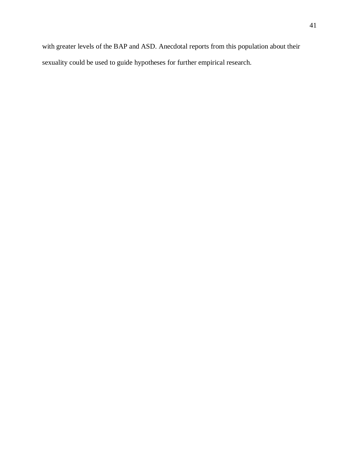with greater levels of the BAP and ASD. Anecdotal reports from this population about their sexuality could be used to guide hypotheses for further empirical research.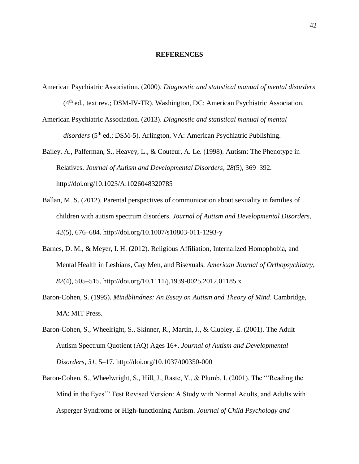#### **REFERENCES**

- American Psychiatric Association. (2000). *Diagnostic and statistical manual of mental disorders* (4th ed., text rev.; DSM-IV-TR). Washington, DC: American Psychiatric Association.
- American Psychiatric Association. (2013). *Diagnostic and statistical manual of mental*  disorders (5<sup>th</sup> ed.; DSM-5). Arlington, VA: American Psychiatric Publishing.

Bailey, A., Palferman, S., Heavey, L., & Couteur, A. Le. (1998). Autism: The Phenotype in Relatives. *Journal of Autism and Developmental Disorders*, *28*(5), 369–392. http://doi.org/10.1023/A:1026048320785

- Ballan, M. S. (2012). Parental perspectives of communication about sexuality in families of children with autism spectrum disorders. *Journal of Autism and Developmental Disorders*, *42*(5), 676–684. http://doi.org/10.1007/s10803-011-1293-y
- Barnes, D. M., & Meyer, I. H. (2012). Religious Affiliation, Internalized Homophobia, and Mental Health in Lesbians, Gay Men, and Bisexuals. *American Journal of Orthopsychiatry*, *82*(4), 505–515. http://doi.org/10.1111/j.1939-0025.2012.01185.x
- Baron-Cohen, S. (1995). *Mindblindnes: An Essay on Autism and Theory of Mind*. Cambridge, MA: MIT Press.
- Baron-Cohen, S., Wheelright, S., Skinner, R., Martin, J., & Clubley, E. (2001). The Adult Autism Spectrum Quotient (AQ) Ages 16+. *Journal of Autism and Developmental Disorders*, *31*, 5–17. http://doi.org/10.1037/t00350-000
- Baron-Cohen, S., Wheelwright, S., Hill, J., Raste, Y., & Plumb, I. (2001). The "'Reading the Mind in the Eyes'" Test Revised Version: A Study with Normal Adults, and Adults with Asperger Syndrome or High-functioning Autism. *Journal of Child Psychology and*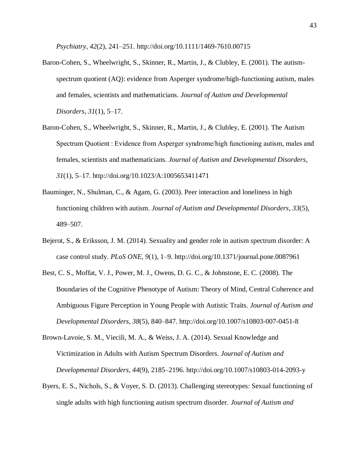*Psychiatry*, *42*(2), 241–251. http://doi.org/10.1111/1469-7610.00715

- Baron-Cohen, S., Wheelwright, S., Skinner, R., Martin, J., & Clubley, E. (2001). The autismspectrum quotient (AQ): evidence from Asperger syndrome/high-functioning autism, males and females, scientists and mathematicians. *Journal of Autism and Developmental Disorders*, *31*(1), 5–17.
- Baron-Cohen, S., Wheelwright, S., Skinner, R., Martin, J., & Clubley, E. (2001). The Autism Spectrum Quotient : Evidence from Asperger syndrome/high functioning autism, males and females, scientists and mathematicians. *Journal of Autism and Developmental Disorders*, *31*(1), 5–17. http://doi.org/10.1023/A:1005653411471
- Bauminger, N., Shulman, C., & Agam, G. (2003). Peer interaction and loneliness in high functioning children with autism. *Journal of Autism and Developmental Disorders*, *33*(5), 489–507.
- Bejerot, S., & Eriksson, J. M. (2014). Sexuality and gender role in autism spectrum disorder: A case control study. *PLoS ONE*, *9*(1), 1–9. http://doi.org/10.1371/journal.pone.0087961
- Best, C. S., Moffat, V. J., Power, M. J., Owens, D. G. C., & Johnstone, E. C. (2008). The Boundaries of the Cognitive Phenotype of Autism: Theory of Mind, Central Coherence and Ambiguous Figure Perception in Young People with Autistic Traits. *Journal of Autism and Developmental Disorders*, *38*(5), 840–847. http://doi.org/10.1007/s10803-007-0451-8
- Brown-Lavoie, S. M., Viecili, M. A., & Weiss, J. A. (2014). Sexual Knowledge and Victimization in Adults with Autism Spectrum Disorders. *Journal of Autism and Developmental Disorders*, *44*(9), 2185–2196. http://doi.org/10.1007/s10803-014-2093-y
- Byers, E. S., Nichols, S., & Voyer, S. D. (2013). Challenging stereotypes: Sexual functioning of single adults with high functioning autism spectrum disorder. *Journal of Autism and*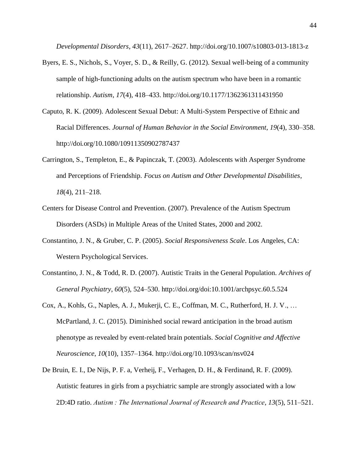*Developmental Disorders*, *43*(11), 2617–2627. http://doi.org/10.1007/s10803-013-1813-z

- Byers, E. S., Nichols, S., Voyer, S. D., & Reilly, G. (2012). Sexual well-being of a community sample of high-functioning adults on the autism spectrum who have been in a romantic relationship. *Autism*, *17*(4), 418–433. http://doi.org/10.1177/1362361311431950
- Caputo, R. K. (2009). Adolescent Sexual Debut: A Multi-System Perspective of Ethnic and Racial Differences. *Journal of Human Behavior in the Social Environment*, *19*(4), 330–358. http://doi.org/10.1080/10911350902787437
- Carrington, S., Templeton, E., & Papinczak, T. (2003). Adolescents with Asperger Syndrome and Perceptions of Friendship. *Focus on Autism and Other Developmental Disabilities*, *18*(4), 211–218.
- Centers for Disease Control and Prevention. (2007). Prevalence of the Autism Spectrum Disorders (ASDs) in Multiple Areas of the United States, 2000 and 2002.
- Constantino, J. N., & Gruber, C. P. (2005). *Social Responsiveness Scale*. Los Angeles, CA: Western Psychological Services.
- Constantino, J. N., & Todd, R. D. (2007). Autistic Traits in the General Population. *Archives of General Psychiatry*, *60*(5), 524–530. http://doi.org/doi:10.1001/archpsyc.60.5.524
- Cox, A., Kohls, G., Naples, A. J., Mukerji, C. E., Coffman, M. C., Rutherford, H. J. V., … McPartland, J. C. (2015). Diminished social reward anticipation in the broad autism phenotype as revealed by event-related brain potentials. *Social Cognitive and Affective Neuroscience*, *10*(10), 1357–1364. http://doi.org/10.1093/scan/nsv024
- De Bruin, E. I., De Nijs, P. F. a, Verheij, F., Verhagen, D. H., & Ferdinand, R. F. (2009). Autistic features in girls from a psychiatric sample are strongly associated with a low 2D:4D ratio. *Autism : The International Journal of Research and Practice*, *13*(5), 511–521.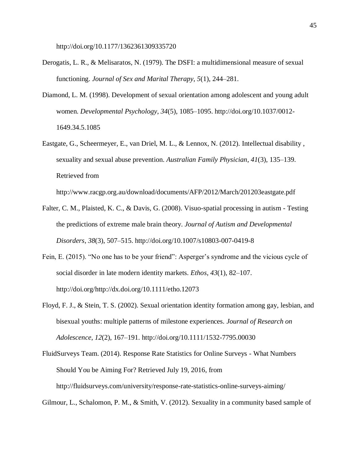http://doi.org/10.1177/1362361309335720

- Derogatis, L. R., & Melisaratos, N. (1979). The DSFI: a multidimensional measure of sexual functioning. *Journal of Sex and Marital Therapy*, *5*(1), 244–281.
- Diamond, L. M. (1998). Development of sexual orientation among adolescent and young adult women. *Developmental Psychology*, *34*(5), 1085–1095. http://doi.org/10.1037/0012- 1649.34.5.1085
- Eastgate, G., Scheermeyer, E., van Driel, M. L., & Lennox, N. (2012). Intellectual disability , sexuality and sexual abuse prevention. *Australian Family Physician*, *41*(3), 135–139. Retrieved from

http://www.racgp.org.au/download/documents/AFP/2012/March/201203eastgate.pdf

- Falter, C. M., Plaisted, K. C., & Davis, G. (2008). Visuo-spatial processing in autism Testing the predictions of extreme male brain theory. *Journal of Autism and Developmental Disorders*, *38*(3), 507–515. http://doi.org/10.1007/s10803-007-0419-8
- Fein, E. (2015). "No one has to be your friend": Asperger's syndrome and the vicious cycle of social disorder in late modern identity markets. *Ethos*, *43*(1), 82–107. http://doi.org/http://dx.doi.org/10.1111/etho.12073
- Floyd, F. J., & Stein, T. S. (2002). Sexual orientation identity formation among gay, lesbian, and bisexual youths: multiple patterns of milestone experiences. *Journal of Research on Adolescence*, *12*(2), 167–191. http://doi.org/10.1111/1532-7795.00030
- FluidSurveys Team. (2014). Response Rate Statistics for Online Surveys What Numbers Should You be Aiming For? Retrieved July 19, 2016, from http://fluidsurveys.com/university/response-rate-statistics-online-surveys-aiming/

Gilmour, L., Schalomon, P. M., & Smith, V. (2012). Sexuality in a community based sample of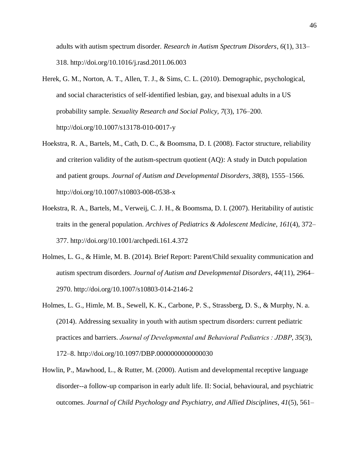adults with autism spectrum disorder. *Research in Autism Spectrum Disorders*, *6*(1), 313– 318. http://doi.org/10.1016/j.rasd.2011.06.003

- Herek, G. M., Norton, A. T., Allen, T. J., & Sims, C. L. (2010). Demographic, psychological, and social characteristics of self-identified lesbian, gay, and bisexual adults in a US probability sample. *Sexuality Research and Social Policy*, *7*(3), 176–200. http://doi.org/10.1007/s13178-010-0017-y
- Hoekstra, R. A., Bartels, M., Cath, D. C., & Boomsma, D. I. (2008). Factor structure, reliability and criterion validity of the autism-spectrum quotient (AQ): A study in Dutch population and patient groups. *Journal of Autism and Developmental Disorders*, *38*(8), 1555–1566. http://doi.org/10.1007/s10803-008-0538-x
- Hoekstra, R. A., Bartels, M., Verweij, C. J. H., & Boomsma, D. I. (2007). Heritability of autistic traits in the general population. *Archives of Pediatrics & Adolescent Medicine*, *161*(4), 372– 377. http://doi.org/10.1001/archpedi.161.4.372
- Holmes, L. G., & Himle, M. B. (2014). Brief Report: Parent/Child sexuality communication and autism spectrum disorders. *Journal of Autism and Developmental Disorders*, *44*(11), 2964– 2970. http://doi.org/10.1007/s10803-014-2146-2
- Holmes, L. G., Himle, M. B., Sewell, K. K., Carbone, P. S., Strassberg, D. S., & Murphy, N. a. (2014). Addressing sexuality in youth with autism spectrum disorders: current pediatric practices and barriers. *Journal of Developmental and Behavioral Pediatrics : JDBP*, *35*(3), 172–8. http://doi.org/10.1097/DBP.0000000000000030
- Howlin, P., Mawhood, L., & Rutter, M. (2000). Autism and developmental receptive language disorder--a follow-up comparison in early adult life. II: Social, behavioural, and psychiatric outcomes. *Journal of Child Psychology and Psychiatry, and Allied Disciplines*, *41*(5), 561–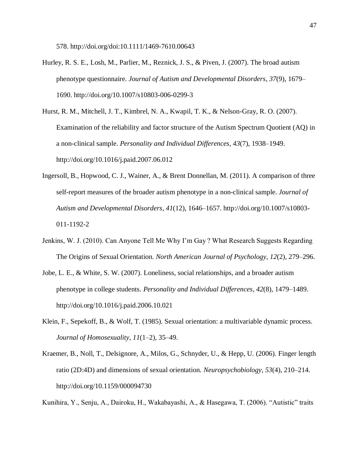578. http://doi.org/doi:10.1111/1469-7610.00643

Hurley, R. S. E., Losh, M., Parlier, M., Reznick, J. S., & Piven, J. (2007). The broad autism phenotype questionnaire. *Journal of Autism and Developmental Disorders*, *37*(9), 1679– 1690. http://doi.org/10.1007/s10803-006-0299-3

Hurst, R. M., Mitchell, J. T., Kimbrel, N. A., Kwapil, T. K., & Nelson-Gray, R. O. (2007). Examination of the reliability and factor structure of the Autism Spectrum Quotient (AQ) in a non-clinical sample. *Personality and Individual Differences*, *43*(7), 1938–1949. http://doi.org/10.1016/j.paid.2007.06.012

- Ingersoll, B., Hopwood, C. J., Wainer, A., & Brent Donnellan, M. (2011). A comparison of three self-report measures of the broader autism phenotype in a non-clinical sample. *Journal of Autism and Developmental Disorders*, *41*(12), 1646–1657. http://doi.org/10.1007/s10803- 011-1192-2
- Jenkins, W. J. (2010). Can Anyone Tell Me Why I'm Gay ? What Research Suggests Regarding The Origins of Sexual Orientation. *North American Journal of Psychology*, *12*(2), 279–296.
- Jobe, L. E., & White, S. W. (2007). Loneliness, social relationships, and a broader autism phenotype in college students. *Personality and Individual Differences*, *42*(8), 1479–1489. http://doi.org/10.1016/j.paid.2006.10.021
- Klein, F., Sepekoff, B., & Wolf, T. (1985). Sexual orientation: a multivariable dynamic process. *Journal of Homosexuality*, *11*(1–2), 35–49.
- Kraemer, B., Noll, T., Delsignore, A., Milos, G., Schnyder, U., & Hepp, U. (2006). Finger length ratio (2D:4D) and dimensions of sexual orientation. *Neuropsychobiology*, *53*(4), 210–214. http://doi.org/10.1159/000094730

Kunihira, Y., Senju, A., Dairoku, H., Wakabayashi, A., & Hasegawa, T. (2006). "Autistic" traits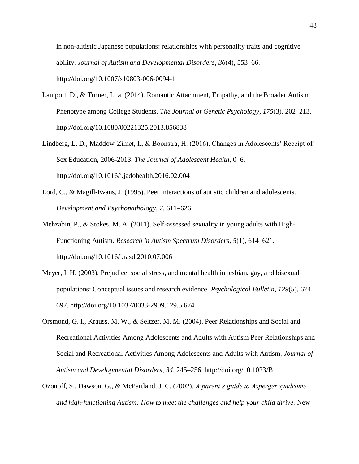in non-autistic Japanese populations: relationships with personality traits and cognitive ability. *Journal of Autism and Developmental Disorders*, *36*(4), 553–66. http://doi.org/10.1007/s10803-006-0094-1

- Lamport, D., & Turner, L. a. (2014). Romantic Attachment, Empathy, and the Broader Autism Phenotype among College Students. *The Journal of Genetic Psychology*, *175*(3), 202–213. http://doi.org/10.1080/00221325.2013.856838
- Lindberg, L. D., Maddow-Zimet, I., & Boonstra, H. (2016). Changes in Adolescents' Receipt of Sex Education, 2006-2013. *The Journal of Adolescent Health*, 0–6. http://doi.org/10.1016/j.jadohealth.2016.02.004
- Lord, C., & Magill-Evans, J. (1995). Peer interactions of autistic children and adolescents. *Development and Psychopathology*, *7*, 611–626.
- Mehzabin, P., & Stokes, M. A. (2011). Self-assessed sexuality in young adults with High-Functioning Autism. *Research in Autism Spectrum Disorders*, *5*(1), 614–621. http://doi.org/10.1016/j.rasd.2010.07.006
- Meyer, I. H. (2003). Prejudice, social stress, and mental health in lesbian, gay, and bisexual populations: Conceptual issues and research evidence. *Psychological Bulletin*, *129*(5), 674– 697. http://doi.org/10.1037/0033-2909.129.5.674
- Orsmond, G. I., Krauss, M. W., & Seltzer, M. M. (2004). Peer Relationships and Social and Recreational Activities Among Adolescents and Adults with Autism Peer Relationships and Social and Recreational Activities Among Adolescents and Adults with Autism. *Journal of Autism and Developmental Disorders*, *34*, 245–256. http://doi.org/10.1023/B
- Ozonoff, S., Dawson, G., & McPartland, J. C. (2002). *A parent's guide to Asperger syndrome and high-functioning Autism: How to meet the challenges and help your child thrive.* New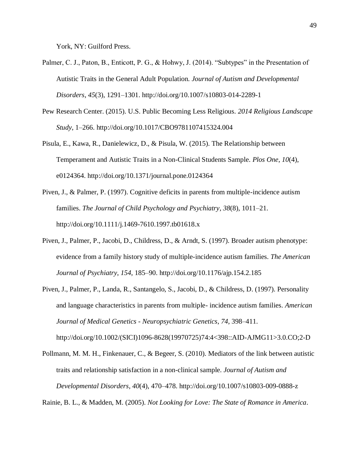York, NY: Guilford Press.

- Palmer, C. J., Paton, B., Enticott, P. G., & Hohwy, J. (2014). "Subtypes" in the Presentation of Autistic Traits in the General Adult Population. *Journal of Autism and Developmental Disorders*, *45*(3), 1291–1301. http://doi.org/10.1007/s10803-014-2289-1
- Pew Research Center. (2015). U.S. Public Becoming Less Religious. *2014 Religious Landscape Study*, 1–266. http://doi.org/10.1017/CBO9781107415324.004
- Pisula, E., Kawa, R., Danielewicz, D., & Pisula, W. (2015). The Relationship between Temperament and Autistic Traits in a Non-Clinical Students Sample. *Plos One*, *10*(4), e0124364. http://doi.org/10.1371/journal.pone.0124364
- Piven, J., & Palmer, P. (1997). Cognitive deficits in parents from multiple-incidence autism families. *The Journal of Child Psychology and Psychiatry*, *38*(8), 1011–21. http://doi.org/10.1111/j.1469-7610.1997.tb01618.x
- Piven, J., Palmer, P., Jacobi, D., Childress, D., & Arndt, S. (1997). Broader autism phenotype: evidence from a family history study of multiple-incidence autism families. *The American Journal of Psychiatry*, *154*, 185–90. http://doi.org/10.1176/ajp.154.2.185
- Piven, J., Palmer, P., Landa, R., Santangelo, S., Jacobi, D., & Childress, D. (1997). Personality and language characteristics in parents from multiple- incidence autism families. *American Journal of Medical Genetics - Neuropsychiatric Genetics*, *74*, 398–411.

http://doi.org/10.1002/(SICI)1096-8628(19970725)74:4<398::AID-AJMG11>3.0.CO;2-D

Pollmann, M. M. H., Finkenauer, C., & Begeer, S. (2010). Mediators of the link between autistic traits and relationship satisfaction in a non-clinical sample. *Journal of Autism and Developmental Disorders*, *40*(4), 470–478. http://doi.org/10.1007/s10803-009-0888-z

Rainie, B. L., & Madden, M. (2005). *Not Looking for Love: The State of Romance in America*.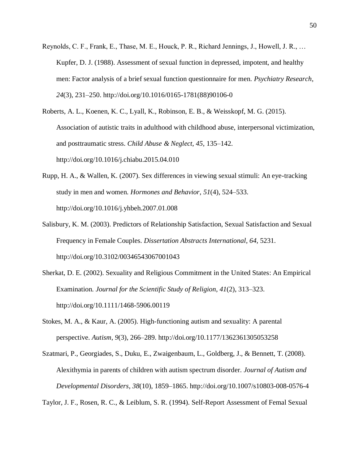Reynolds, C. F., Frank, E., Thase, M. E., Houck, P. R., Richard Jennings, J., Howell, J. R., … Kupfer, D. J. (1988). Assessment of sexual function in depressed, impotent, and healthy men: Factor analysis of a brief sexual function questionnaire for men. *Psychiatry Research*, *24*(3), 231–250. http://doi.org/10.1016/0165-1781(88)90106-0

Roberts, A. L., Koenen, K. C., Lyall, K., Robinson, E. B., & Weisskopf, M. G. (2015). Association of autistic traits in adulthood with childhood abuse, interpersonal victimization, and posttraumatic stress. *Child Abuse & Neglect*, *45*, 135–142. http://doi.org/10.1016/j.chiabu.2015.04.010

- Rupp, H. A., & Wallen, K. (2007). Sex differences in viewing sexual stimuli: An eye-tracking study in men and women. *Hormones and Behavior*, *51*(4), 524–533. http://doi.org/10.1016/j.yhbeh.2007.01.008
- Salisbury, K. M. (2003). Predictors of Relationship Satisfaction, Sexual Satisfaction and Sexual Frequency in Female Couples. *Dissertation Abstracts International*, *64*, 5231. http://doi.org/10.3102/00346543067001043
- Sherkat, D. E. (2002). Sexuality and Religious Commitment in the United States: An Empirical Examination. *Journal for the Scientific Study of Religion*, *41*(2), 313–323. http://doi.org/10.1111/1468-5906.00119
- Stokes, M. A., & Kaur, A. (2005). High-functioning autism and sexuality: A parental perspective. *Autism*, *9*(3), 266–289. http://doi.org/10.1177/1362361305053258
- Szatmari, P., Georgiades, S., Duku, E., Zwaigenbaum, L., Goldberg, J., & Bennett, T. (2008). Alexithymia in parents of children with autism spectrum disorder. *Journal of Autism and Developmental Disorders*, *38*(10), 1859–1865. http://doi.org/10.1007/s10803-008-0576-4

Taylor, J. F., Rosen, R. C., & Leiblum, S. R. (1994). Self-Report Assessment of Femal Sexual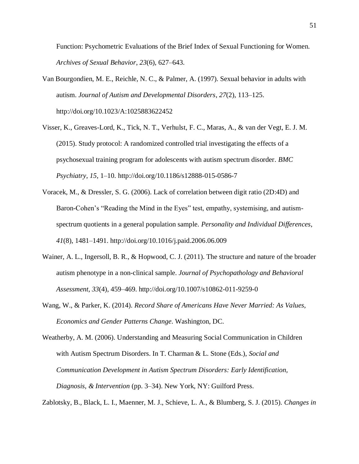Function: Psychometric Evaluations of the Brief Index of Sexual Functioning for Women. *Archives of Sexual Behavior*, *23*(6), 627–643.

- Van Bourgondien, M. E., Reichle, N. C., & Palmer, A. (1997). Sexual behavior in adults with autism. *Journal of Autism and Developmental Disorders*, *27*(2), 113–125. http://doi.org/10.1023/A:1025883622452
- Visser, K., Greaves-Lord, K., Tick, N. T., Verhulst, F. C., Maras, A., & van der Vegt, E. J. M. (2015). Study protocol: A randomized controlled trial investigating the effects of a psychosexual training program for adolescents with autism spectrum disorder. *BMC Psychiatry*, *15*, 1–10. http://doi.org/10.1186/s12888-015-0586-7
- Voracek, M., & Dressler, S. G. (2006). Lack of correlation between digit ratio (2D:4D) and Baron-Cohen's "Reading the Mind in the Eyes" test, empathy, systemising, and autismspectrum quotients in a general population sample. *Personality and Individual Differences*, *41*(8), 1481–1491. http://doi.org/10.1016/j.paid.2006.06.009
- Wainer, A. L., Ingersoll, B. R., & Hopwood, C. J. (2011). The structure and nature of the broader autism phenotype in a non-clinical sample. *Journal of Psychopathology and Behavioral Assessment*, *33*(4), 459–469. http://doi.org/10.1007/s10862-011-9259-0
- Wang, W., & Parker, K. (2014). *Record Share of Americans Have Never Married: As Values, Economics and Gender Patterns Change*. Washington, DC.

Weatherby, A. M. (2006). Understanding and Measuring Social Communication in Children with Autism Spectrum Disorders. In T. Charman & L. Stone (Eds.), *Social and Communication Development in Autism Spectrum Disorders: Early Identification, Diagnosis, & Intervention* (pp. 3–34). New York, NY: Guilford Press.

Zablotsky, B., Black, L. I., Maenner, M. J., Schieve, L. A., & Blumberg, S. J. (2015). *Changes in*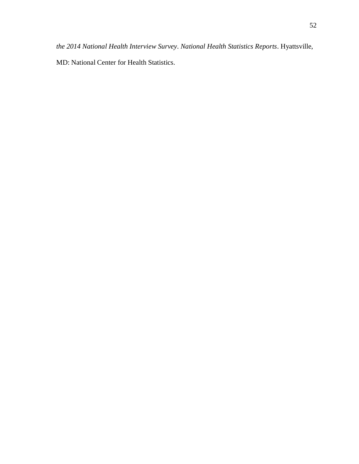MD: National Center for Health Statistics.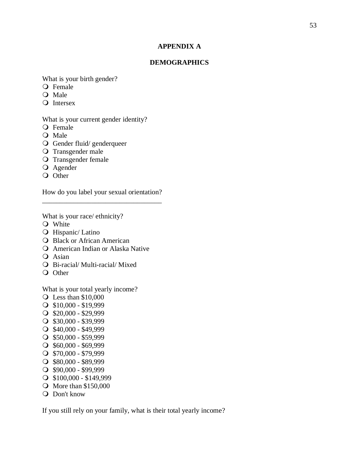## **APPENDIX A**

## **DEMOGRAPHICS**

What is your birth gender?

- Female
- Q Male
- Q Intersex

What is your current gender identity?

- Q Female
- O Male
- Gender fluid/ genderqueer
- O Transgender male
- O Transgender female
- Agender
- O Other

How do you label your sexual orientation? \_\_\_\_\_\_\_\_\_\_\_\_\_\_\_\_\_\_\_\_\_\_\_\_\_\_\_\_\_\_\_\_\_\_

What is your race/ ethnicity?

- Q White
- **O** Hispanic/ Latino
- **O** Black or African American
- American Indian or Alaska Native
- Q Asian
- Bi-racial/ Multi-racial/ Mixed
- Q Other

What is your total yearly income?

- Less than \$10,000
- $\bigcirc$  \$10,000 \$19,999
- $\bigcirc$  \$20,000 \$29,999
- $\bigcirc$  \$30,000 \$39,999
- $\bigcirc$  \$40,000 \$49,999
- $\bigcirc$  \$50,000 \$59,999
- $\bigcirc$  \$60,000 \$69,999
- $\bigcirc$  \$70,000 \$79,999
- $\bigcirc$  \$80,000 \$89,999
- $\bigcirc$  \$90,000 \$99,999
- \$100,000 \$149,999
- More than \$150,000
- Q Don't know

If you still rely on your family, what is their total yearly income?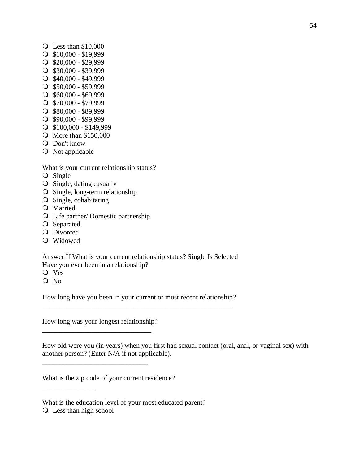- $\bigcirc$  Less than \$10,000
- $\bigcirc$  \$10,000 \$19,999
- $\bigcirc$  \$20,000 \$29,999
- $\bigcirc$  \$30,000 \$39,999
- $\bigcirc$  \$40,000 \$49,999
- $\bigcirc$  \$50,000 \$59,999
- $\bigcirc$  \$60,000 \$69,999
- $\bigcirc$  \$70,000 \$79,999
- $\bigcirc$  \$80,000 \$89,999
- $\bigcirc$  \$90,000 \$99,999
- $\bigcirc$  \$100,000 \$149,999
- **O** More than \$150,000
- **Q** Don't know
- O Not applicable

What is your current relationship status?

- Q Single
- $\overline{O}$  Single, dating casually
- $\bigcirc$  Single, long-term relationship
- $\overline{O}$  Single, cohabitating
- Married
- Life partner/ Domestic partnership
- O Separated
- **O** Divorced
- Widowed

Answer If What is your current relationship status? Single Is Selected Have you ever been in a relationship?

- Yes
- O No

How long have you been in your current or most recent relationship? \_\_\_\_\_\_\_\_\_\_\_\_\_\_\_\_\_\_\_\_\_\_\_\_\_\_\_\_\_\_\_\_\_\_\_\_\_\_\_\_\_\_\_\_\_\_\_\_\_\_\_\_\_\_

How long was your longest relationship?

\_\_\_\_\_\_\_\_\_\_\_\_\_\_\_\_\_\_\_\_\_\_\_\_\_\_\_\_\_\_\_

\_\_\_\_\_\_\_\_\_\_\_\_\_\_\_\_\_\_\_\_\_\_\_\_\_\_\_\_\_\_

How old were you (in years) when you first had sexual contact (oral, anal, or vaginal sex) with another person? (Enter N/A if not applicable).

What is the zip code of your current residence?

What is the education level of your most educated parent?

Less than high school

\_\_\_\_\_\_\_\_\_\_\_\_\_\_\_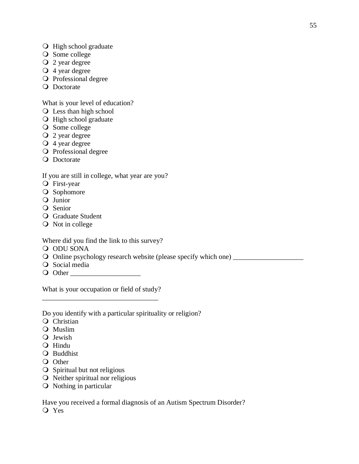- O High school graduate
- O Some college
- $Q$  2 year degree
- 4 year degree
- O Professional degree
- **O** Doctorate

What is your level of education?

- Less than high school
- O High school graduate
- O Some college
- 2 year degree
- $\overline{Q}$  4 year degree
- O Professional degree
- **O** Doctorate

If you are still in college, what year are you?

- First-year
- O Sophomore
- Junior
- Q Senior
- **Q** Graduate Student
- O Not in college

Where did you find the link to this survey?

- O ODU SONA
- Online psychology research website (please specify which one) \_\_\_\_\_\_\_\_\_\_\_\_\_\_\_\_\_\_\_\_
- O Social media
- Other \_\_\_\_\_\_\_\_\_\_\_\_\_\_\_\_\_\_\_\_

What is your occupation or field of study? \_\_\_\_\_\_\_\_\_\_\_\_\_\_\_\_\_\_\_\_\_\_\_\_\_\_\_\_\_\_\_\_\_

Do you identify with a particular spirituality or religion?

- Q Christian
- Muslim
- Q Jewish
- Hindu
- Q Buddhist
- O Other
- O Spiritual but not religious
- $\overline{O}$  Neither spiritual nor religious
- O Nothing in particular

Have you received a formal diagnosis of an Autism Spectrum Disorder? Q Yes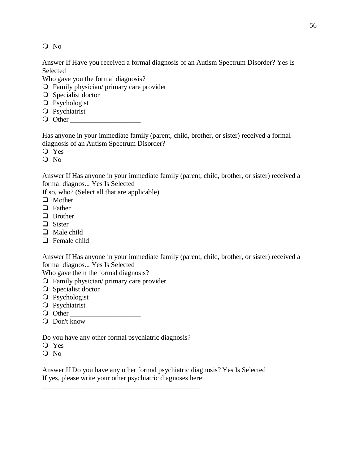Q No

Answer If Have you received a formal diagnosis of an Autism Spectrum Disorder? Yes Is Selected

Who gave you the formal diagnosis?

- Family physician/ primary care provider
- **O** Specialist doctor
- O Psychologist
- **Q** Psychiatrist
- Other \_\_\_\_\_\_\_\_\_\_\_\_\_\_\_\_\_\_\_\_

Has anyone in your immediate family (parent, child, brother, or sister) received a formal diagnosis of an Autism Spectrum Disorder?

Yes

Q No

Answer If Has anyone in your immediate family (parent, child, brother, or sister) received a formal diagnos... Yes Is Selected

If so, who? (Select all that are applicable).

- **O** Mother
- $\Box$  Father
- $\Box$  Brother
- $\Box$  Sister
- $\Box$  Male child
- **Q** Female child

Answer If Has anyone in your immediate family (parent, child, brother, or sister) received a formal diagnos... Yes Is Selected

Who gave them the formal diagnosis?

- Family physician/ primary care provider
- **O** Specialist doctor
- O Psychologist
- **O** Psychiatrist
- O Other
- Don't know

Do you have any other formal psychiatric diagnosis?

\_\_\_\_\_\_\_\_\_\_\_\_\_\_\_\_\_\_\_\_\_\_\_\_\_\_\_\_\_\_\_\_\_\_\_\_\_\_\_\_\_\_\_\_\_

- Yes
- O No

Answer If Do you have any other formal psychiatric diagnosis? Yes Is Selected If yes, please write your other psychiatric diagnoses here: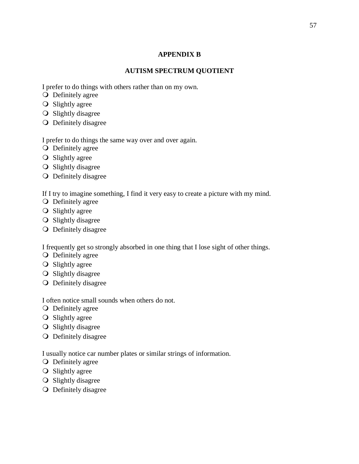# **APPENDIX B**

# **AUTISM SPECTRUM QUOTIENT**

I prefer to do things with others rather than on my own.

- **O** Definitely agree
- **O** Slightly agree
- O Slightly disagree
- Definitely disagree

I prefer to do things the same way over and over again.

- **O** Definitely agree
- O Slightly agree
- O Slightly disagree
- Definitely disagree

If I try to imagine something, I find it very easy to create a picture with my mind.

- O Definitely agree
- $\bigcirc$  Slightly agree
- O Slightly disagree
- Definitely disagree

I frequently get so strongly absorbed in one thing that I lose sight of other things.

- O Definitely agree
- O Slightly agree
- O Slightly disagree
- Definitely disagree

I often notice small sounds when others do not.

- **O** Definitely agree
- **O** Slightly agree
- O Slightly disagree
- Definitely disagree

I usually notice car number plates or similar strings of information.

- O Definitely agree
- **O** Slightly agree
- $\overline{O}$  Slightly disagree
- Definitely disagree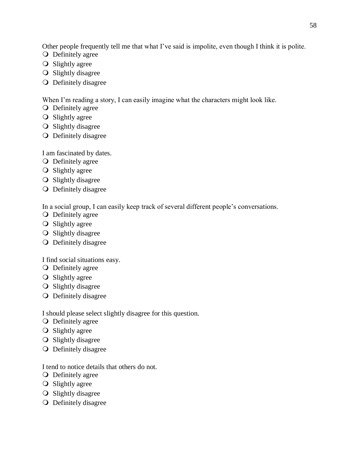Other people frequently tell me that what I've said is impolite, even though I think it is polite.

- **O** Definitely agree
- **O** Slightly agree
- **O** Slightly disagree
- Definitely disagree

When I'm reading a story, I can easily imagine what the characters might look like.

- **O** Definitely agree
- **O** Slightly agree
- O Slightly disagree
- Definitely disagree

I am fascinated by dates.

- **O** Definitely agree
- **O** Slightly agree
- **O** Slightly disagree
- Definitely disagree

In a social group, I can easily keep track of several different people's conversations.

- O Definitely agree
- **O** Slightly agree
- O Slightly disagree
- Definitely disagree

I find social situations easy.

- O Definitely agree
- **O** Slightly agree
- **O** Slightly disagree
- Definitely disagree

I should please select slightly disagree for this question.

- O Definitely agree
- **O** Slightly agree
- O Slightly disagree
- Definitely disagree

I tend to notice details that others do not.

- **O** Definitely agree
- $\bigcirc$  Slightly agree
- **O** Slightly disagree
- Definitely disagree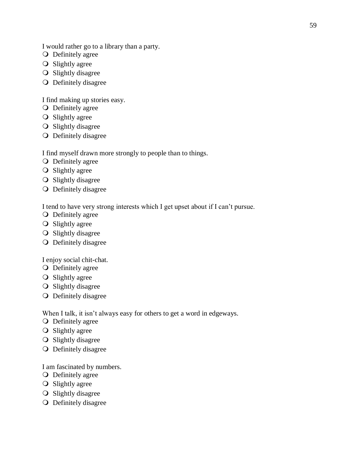I would rather go to a library than a party.

- **O** Definitely agree
- **O** Slightly agree
- **O** Slightly disagree
- O Definitely disagree

I find making up stories easy.

- **O** Definitely agree
- **O** Slightly agree
- O Slightly disagree
- Definitely disagree

I find myself drawn more strongly to people than to things.

- **O** Definitely agree
- **O** Slightly agree
- **O** Slightly disagree
- Definitely disagree

I tend to have very strong interests which I get upset about if I can't pursue.

- O Definitely agree
- **O** Slightly agree
- O Slightly disagree
- O Definitely disagree

I enjoy social chit-chat.

- O Definitely agree
- **O** Slightly agree
- O Slightly disagree
- Definitely disagree

When I talk, it isn't always easy for others to get a word in edgeways.

- O Definitely agree
- **O** Slightly agree
- O Slightly disagree
- Definitely disagree

I am fascinated by numbers.

- O Definitely agree
- $\overline{O}$  Slightly agree
- **O** Slightly disagree
- Definitely disagree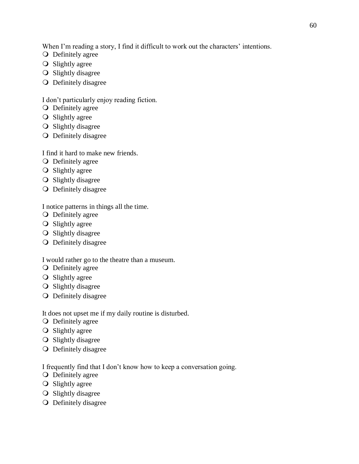When I'm reading a story, I find it difficult to work out the characters' intentions.

- **O** Definitely agree
- **O** Slightly agree
- **O** Slightly disagree
- O Definitely disagree

# I don't particularly enjoy reading fiction.

- **O** Definitely agree
- **O** Slightly agree
- O Slightly disagree
- Definitely disagree

# I find it hard to make new friends.

- **O** Definitely agree
- **O** Slightly agree
- **O** Slightly disagree
- O Definitely disagree

I notice patterns in things all the time.

- O Definitely agree
- **O** Slightly agree
- O Slightly disagree
- Definitely disagree

# I would rather go to the theatre than a museum.

- O Definitely agree
- **O** Slightly agree
- **O** Slightly disagree
- Definitely disagree

It does not upset me if my daily routine is disturbed.

- O Definitely agree
- **O** Slightly agree
- O Slightly disagree
- Definitely disagree

I frequently find that I don't know how to keep a conversation going.

- O Definitely agree
- $\overline{O}$  Slightly agree
- **O** Slightly disagree
- Definitely disagree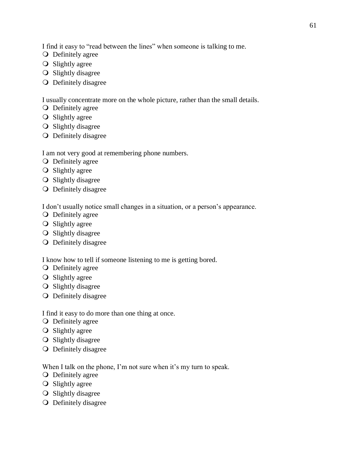I find it easy to "read between the lines" when someone is talking to me.

- **O** Definitely agree
- **O** Slightly agree
- **O** Slightly disagree
- Definitely disagree

I usually concentrate more on the whole picture, rather than the small details.

- **O** Definitely agree
- **O** Slightly agree
- O Slightly disagree
- Definitely disagree

I am not very good at remembering phone numbers.

- **O** Definitely agree
- **O** Slightly agree
- **O** Slightly disagree
- Definitely disagree

I don't usually notice small changes in a situation, or a person's appearance.

- O Definitely agree
- **O** Slightly agree
- O Slightly disagree
- Definitely disagree

I know how to tell if someone listening to me is getting bored.

- O Definitely agree
- **O** Slightly agree
- O Slightly disagree
- Definitely disagree

I find it easy to do more than one thing at once.

- O Definitely agree
- **O** Slightly agree
- O Slightly disagree
- Definitely disagree

When I talk on the phone, I'm not sure when it's my turn to speak.

- **O** Definitely agree
- $\overline{O}$  Slightly agree
- **O** Slightly disagree
- Definitely disagree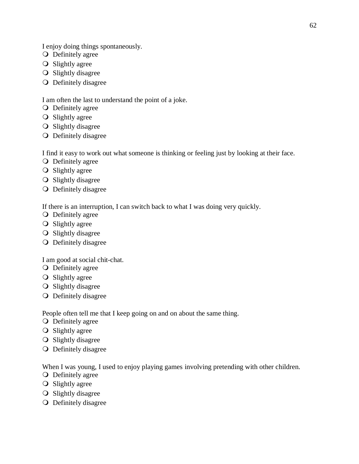I enjoy doing things spontaneously.

- **O** Definitely agree
- **O** Slightly agree
- **O** Slightly disagree
- O Definitely disagree

## I am often the last to understand the point of a joke.

- **O** Definitely agree
- **O** Slightly agree
- O Slightly disagree
- Definitely disagree

I find it easy to work out what someone is thinking or feeling just by looking at their face.

- **O** Definitely agree
- **O** Slightly agree
- **O** Slightly disagree
- Definitely disagree

If there is an interruption, I can switch back to what I was doing very quickly.

- O Definitely agree
- **O** Slightly agree
- O Slightly disagree
- Definitely disagree

## I am good at social chit-chat.

- O Definitely agree
- **O** Slightly agree
- **O** Slightly disagree
- Definitely disagree

People often tell me that I keep going on and on about the same thing.

- O Definitely agree
- **O** Slightly agree
- O Slightly disagree
- Definitely disagree

When I was young, I used to enjoy playing games involving pretending with other children.

- O Definitely agree
- $\overline{O}$  Slightly agree
- **O** Slightly disagree
- Definitely disagree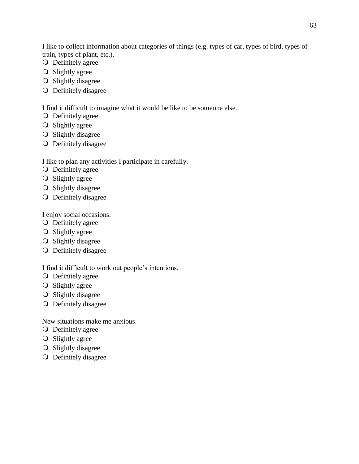I like to collect information about categories of things (e.g. types of car, types of bird, types of train, types of plant, etc.).

- **O** Definitely agree
- **O** Slightly agree
- O Slightly disagree
- Definitely disagree

I find it difficult to imagine what it would be like to be someone else.

- **O** Definitely agree
- **O** Slightly agree
- **O** Slightly disagree
- Definitely disagree

I like to plan any activities I participate in carefully.

- O Definitely agree
- **O** Slightly agree
- O Slightly disagree
- Definitely disagree

I enjoy social occasions.

- O Definitely agree
- **O** Slightly agree
- **O** Slightly disagree
- Definitely disagree

I find it difficult to work out people's intentions.

- O Definitely agree
- **O** Slightly agree
- O Slightly disagree
- O Definitely disagree

New situations make me anxious.

- **O** Definitely agree
- **O** Slightly agree
- **O** Slightly disagree
- Definitely disagree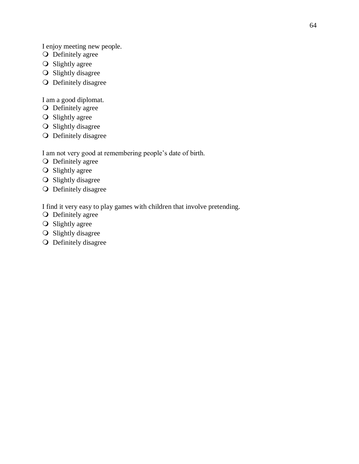I enjoy meeting new people.

- O Definitely agree
- **O** Slightly agree
- O Slightly disagree
- O Definitely disagree

I am a good diplomat.

- O Definitely agree
- O Slightly agree
- O Slightly disagree
- Definitely disagree

I am not very good at remembering people's date of birth.

- O Definitely agree
- O Slightly agree
- O Slightly disagree
- O Definitely disagree

I find it very easy to play games with children that involve pretending.

- O Definitely agree
- O Slightly agree
- O Slightly disagree
- O Definitely disagree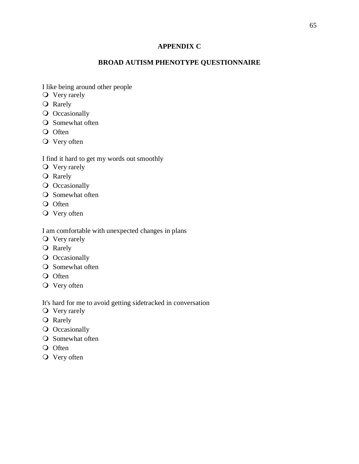# **APPENDIX C**

# **BROAD AUTISM PHENOTYPE QUESTIONNAIRE**

I like being around other people

- O Very rarely
- O Rarely
- O Occasionally
- **O** Somewhat often
- O Often
- Very often

### I find it hard to get my words out smoothly

- O Very rarely
- **O** Rarely
- O Occasionally
- **O** Somewhat often
- O Often
- Very often

I am comfortable with unexpected changes in plans

- **O** Very rarely
- O Rarely
- O Occasionally
- **O** Somewhat often
- O Often
- Very often

It's hard for me to avoid getting sidetracked in conversation

- O Very rarely
- O Rarely
- **O** Occasionally
- **O** Somewhat often
- O Often
- O Very often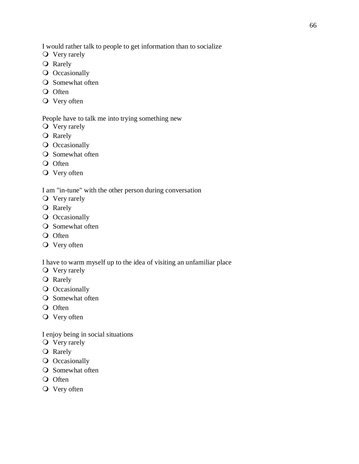I would rather talk to people to get information than to socialize

- O Very rarely
- O Rarely
- O Occasionally
- O Somewhat often
- O Often
- O Very often

### People have to talk me into trying something new

- **O** Very rarely
- **O** Rarely
- O Occasionally
- **O** Somewhat often
- O Often
- O Very often

## I am "in-tune" with the other person during conversation

- O Very rarely
- O Rarely
- **O** Occasionally
- **O** Somewhat often
- O Often
- Very often

I have to warm myself up to the idea of visiting an unfamiliar place

- **O** Very rarely
- O Rarely
- O Occasionally
- **O** Somewhat often
- O Often
- Very often

I enjoy being in social situations

- O Very rarely
- O Rarely
- **O** Occasionally
- **O** Somewhat often
- O Often
- Very often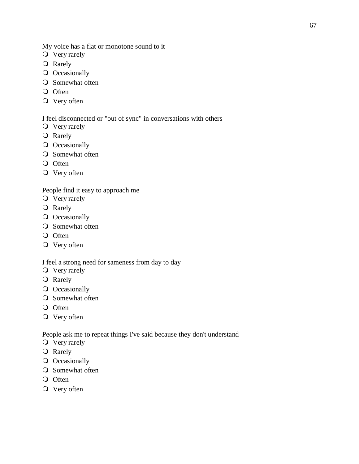My voice has a flat or monotone sound to it

- O Very rarely
- O Rarely
- O Occasionally
- O Somewhat often
- O Often
- O Very often

# I feel disconnected or "out of sync" in conversations with others

- O Very rarely
- O Rarely
- O Occasionally
- **O** Somewhat often
- O Often
- O Very often

People find it easy to approach me

- O Very rarely
- O Rarely
- **O** Occasionally
- **O** Somewhat often
- O Often
- Very often

I feel a strong need for sameness from day to day

- **O** Very rarely
- O Rarely
- **O** Occasionally
- **O** Somewhat often
- O Often
- Very often

People ask me to repeat things I've said because they don't understand

- Very rarely
- O Rarely
- **O** Occasionally
- **O** Somewhat often
- O Often
- Very often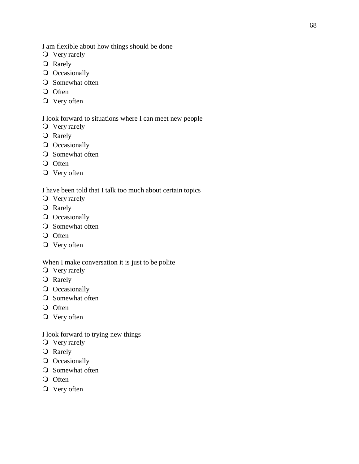I am flexible about how things should be done

- **O** Very rarely
- Rarely
- O Occasionally
- **O** Somewhat often
- O Often
- O Very often

### I look forward to situations where I can meet new people

- O Very rarely
- **O** Rarely
- O Occasionally
- **O** Somewhat often
- O Often
- O Very often

## I have been told that I talk too much about certain topics

- Very rarely
- O Rarely
- **O** Occasionally
- **O** Somewhat often
- O Often
- Very often

# When I make conversation it is just to be polite

- Very rarely
- O Rarely
- O Occasionally
- **O** Somewhat often
- O Often
- Very often

#### I look forward to trying new things

- O Very rarely
- O Rarely
- **O** Occasionally
- **O** Somewhat often
- O Often
- O Very often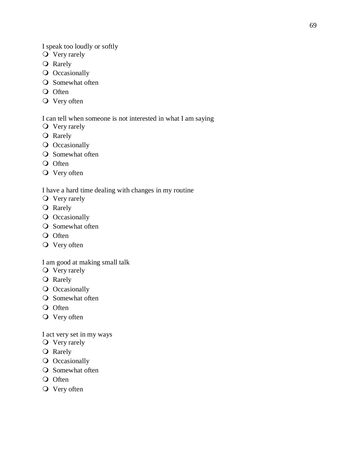I speak too loudly or softly

- Very rarely
- O Rarely
- O Occasionally
- **O** Somewhat often
- O Often
- O Very often

### I can tell when someone is not interested in what I am saying

- O Very rarely
- O Rarely
- O Occasionally
- **O** Somewhat often
- O Often
- O Very often

## I have a hard time dealing with changes in my routine

- O Very rarely
- O Rarely
- **O** Occasionally
- **O** Somewhat often
- O Often
- Very often

# I am good at making small talk

- O Very rarely
- O Rarely
- O Occasionally
- **O** Somewhat often
- O Often
- Very often

I act very set in my ways

- O Very rarely
- O Rarely
- **O** Occasionally
- **O** Somewhat often
- O Often
- O Very often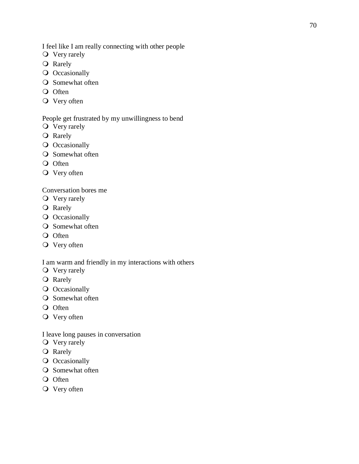I feel like I am really connecting with other people

- **O** Very rarely
- O Rarely
- O Occasionally
- **O** Somewhat often
- O Often
- O Very often

### People get frustrated by my unwillingness to bend

- O Very rarely
- O Rarely
- O Occasionally
- **O** Somewhat often
- O Often
- Very often

# Conversation bores me

- O Very rarely
- O Rarely
- **O** Occasionally
- **O** Somewhat often
- O Often
- Very often

## I am warm and friendly in my interactions with others

- Very rarely
- O Rarely
- O Occasionally
- **O** Somewhat often
- O Often
- Very often

#### I leave long pauses in conversation

- O Very rarely
- O Rarely
- **O** Occasionally
- **O** Somewhat often
- O Often
- Very often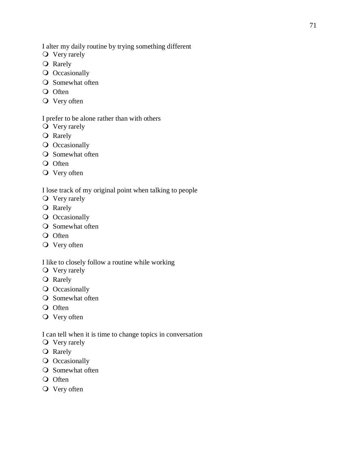I alter my daily routine by trying something different

- **O** Very rarely
- O Rarely
- O Occasionally
- O Somewhat often
- O Often
- O Very often

# I prefer to be alone rather than with others

- Very rarely
- O Rarely
- O Occasionally
- **O** Somewhat often
- O Often
- O Very often

## I lose track of my original point when talking to people

- O Very rarely
- O Rarely
- **O** Occasionally
- **O** Somewhat often
- O Often
- Very often

## I like to closely follow a routine while working

- **O** Very rarely
- O Rarely
- O Occasionally
- **O** Somewhat often
- O Often
- Very often

### I can tell when it is time to change topics in conversation

- O Very rarely
- O Rarely
- **O** Occasionally
- **O** Somewhat often
- O Often
- Very often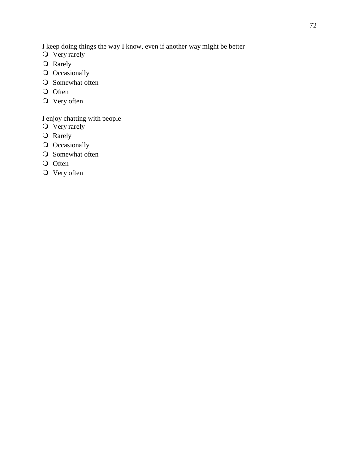I keep doing things the way I know, even if another way might be better

- $\overrightarrow{O}$  Very rarely
- O Rarely
- O Occasionally
- Somewhat often
- O Often
- O Very often

I enjoy chatting with people

- O Very rarely
- O Rarely
- O Occasionally
- O Somewhat often
- O Often
- O Very often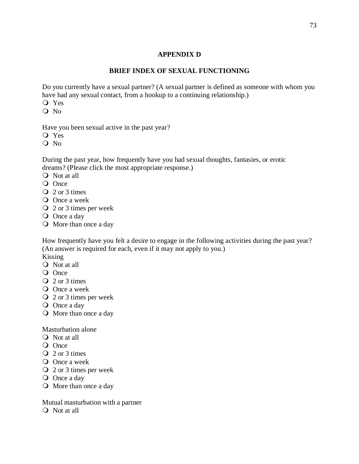## **APPENDIX D**

## **BRIEF INDEX OF SEXUAL FUNCTIONING**

Do you currently have a sexual partner? (A sexual partner is defined as someone with whom you have had any sexual contact, from a hookup to a continuing relationship.)

Yes

 $O$  No

Have you been sexual active in the past year?

- Q Yes
- Q No

During the past year, how frequently have you had sexual thoughts, fantasies, or erotic dreams? (Please click the most appropriate response.)

- Not at all
- O Once
- $Q_2$  or 3 times
- O Once a week
- 2 or 3 times per week
- O Once a day
- O More than once a day

How frequently have you felt a desire to engage in the following activities during the past year? (An answer is required for each, even if it may not apply to you.)

Kissing

- Not at all
- O Once
- Q 2 or 3 times
- O Once a week
- 2 or 3 times per week
- O Once a day
- More than once a day

Masturbation alone

- Not at all
- O Once
- Q 2 or 3 times
- O Once a week
- 2 or 3 times per week
- O Once a day
- O More than once a day

Mutual masturbation with a partner

Not at all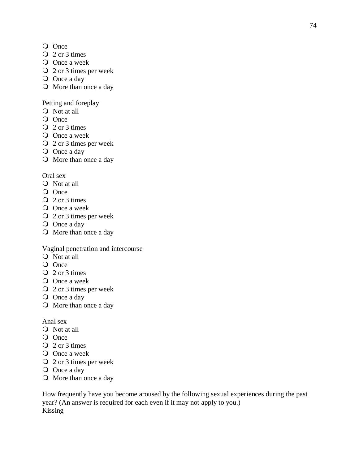- O Once
- $Q$  2 or 3 times
- O Once a week
- 2 or 3 times per week
- O Once a day
- O More than once a day

# Petting and foreplay

- Not at all
- O Once
- Q 2 or 3 times
- O Once a week
- 2 or 3 times per week
- O Once a day
- More than once a day

# Oral sex

- Not at all
- O Once
- Q 2 or 3 times
- O Once a week
- 2 or 3 times per week
- O Once a day
- More than once a day

# Vaginal penetration and intercourse

- Not at all
- O Once
- 2 or 3 times
- O Once a week
- 2 or 3 times per week
- O Once a day
- More than once a day

# Anal sex

- Not at all
- O Once
- Q 2 or 3 times
- O Once a week
- 2 or 3 times per week
- O Once a day
- More than once a day

How frequently have you become aroused by the following sexual experiences during the past year? (An answer is required for each even if it may not apply to you.) Kissing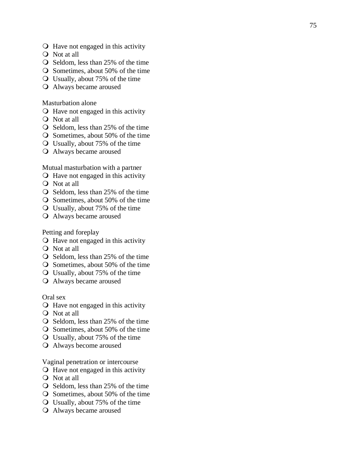- $\bigcirc$  Have not engaged in this activity
- Not at all
- O Seldom, less than 25% of the time
- $\bigcirc$  Sometimes, about 50% of the time
- Usually, about 75% of the time
- Always became aroused

#### Masturbation alone

- $\bigcirc$  Have not engaged in this activity
- Not at all
- $\bigcirc$  Seldom, less than 25% of the time
- Sometimes, about 50% of the time
- Usually, about 75% of the time
- Always became aroused

Mutual masturbation with a partner

- $\bigcirc$  Have not engaged in this activity
- Not at all
- $\overline{O}$  Seldom, less than 25% of the time
- Sometimes, about 50% of the time
- Usually, about 75% of the time
- Always became aroused

Petting and foreplay

- Have not engaged in this activity
- Not at all
- $\bigcirc$  Seldom, less than 25% of the time
- $\overline{O}$  Sometimes, about 50% of the time
- Usually, about 75% of the time
- Always became aroused

#### Oral sex

- $\bigcirc$  Have not engaged in this activity
- Not at all
- $\bigcirc$  Seldom, less than 25% of the time
- $\overline{O}$  Sometimes, about 50% of the time
- Usually, about 75% of the time
- Always become aroused

Vaginal penetration or intercourse

- $\bigcirc$  Have not engaged in this activity
- Not at all
- $\bigcirc$  Seldom, less than 25% of the time
- $\Omega$  Sometimes, about 50% of the time
- Usually, about 75% of the time
- Always became aroused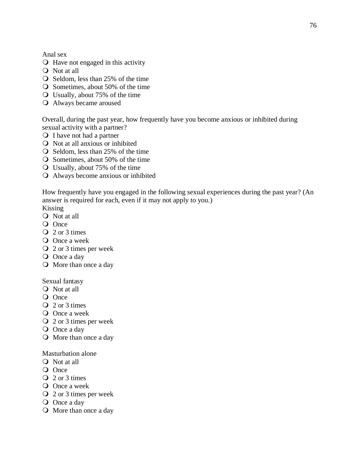Anal sex

- Have not engaged in this activity
- Not at all
- $\overline{O}$  Seldom, less than 25% of the time
- Sometimes, about 50% of the time
- Usually, about 75% of the time
- Always became aroused

Overall, during the past year, how frequently have you become anxious or inhibited during sexual activity with a partner?

- Q I have not had a partner
- $\overline{Q}$  Not at all anxious or inhibited
- $\overline{O}$  Seldom, less than 25% of the time
- $\overline{O}$  Sometimes, about 50% of the time
- Usually, about 75% of the time
- Always become anxious or inhibited

How frequently have you engaged in the following sexual experiences during the past year? (An answer is required for each, even if it may not apply to you.)

Kissing

- Not at all
- O Once
- Q 2 or 3 times
- O Once a week
- 2 or 3 times per week
- O Once a day
- More than once a day

#### Sexual fantasy

- Not at all
- O Once
- Q 2 or 3 times
- O Once a week
- 2 or 3 times per week
- O Once a day
- More than once a day

#### Masturbation alone

- Not at all
- O Once
- Q 2 or 3 times
- O Once a week
- 2 or 3 times per week
- O Once a day
- More than once a day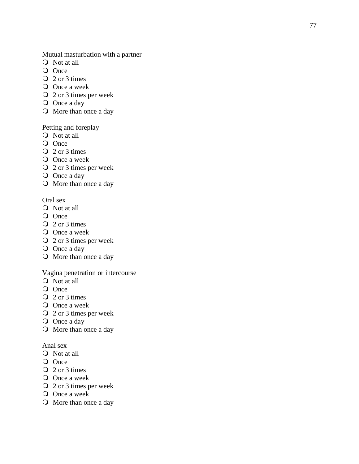Mutual masturbation with a partner

- Not at all
- O Once
- Q 2 or 3 times
- O Once a week
- 2 or 3 times per week
- O Once a day
- O More than once a day

#### Petting and foreplay

- Not at all
- O Once
- Q 2 or 3 times
- O Once a week
- 2 or 3 times per week
- O Once a day
- More than once a day

### Oral sex

- Not at all
- O Once
- Q 2 or 3 times
- O Once a week
- 2 or 3 times per week
- O Once a day
- More than once a day

## Vagina penetration or intercourse

- Not at all
- O Once
- Q 2 or 3 times
- O Once a week
- 2 or 3 times per week
- O Once a day
- More than once a day

### Anal sex

- O Not at all
- O Once
- Q 2 or 3 times
- O Once a week
- 2 or 3 times per week
- O Once a week
- More than once a day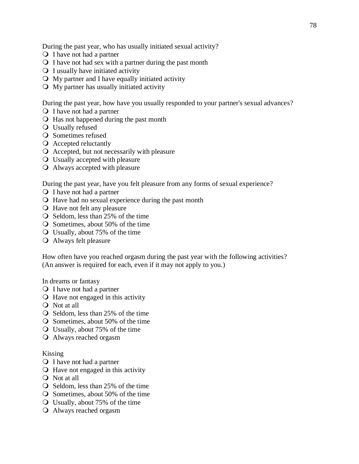During the past year, who has usually initiated sexual activity?

- Q I have not had a partner
- $\Omega$  I have not had sex with a partner during the past month
- $\bigcirc$  I usually have initiated activity
- $\bigcirc$  My partner and I have equally initiated activity
- My partner has usually initiated activity

During the past year, how have you usually responded to your partner's sexual advances?

- Q I have not had a partner
- $\bigcirc$  Has not happened during the past month
- Usually refused
- O Sometimes refused
- Accepted reluctantly
- Accepted, but not necessarily with pleasure
- Usually accepted with pleasure
- Always accepted with pleasure

During the past year, have you felt pleasure from any forms of sexual experience?

- Q I have not had a partner
- $\bigcirc$  Have had no sexual experience during the past month
- Have not felt any pleasure
- $\bigcirc$  Seldom, less than 25% of the time
- Sometimes, about 50% of the time
- Usually, about 75% of the time
- Always felt pleasure

How often have you reached orgasm during the past year with the following activities? (An answer is required for each, even if it may not apply to you.)

In dreams or fantasy

- O I have not had a partner
- $\bigcirc$  Have not engaged in this activity
- Not at all
- $\overline{O}$  Seldom, less than 25% of the time
- $\overline{O}$  Sometimes, about 50% of the time
- Usually, about 75% of the time
- Always reached orgasm

#### Kissing

- Q I have not had a partner
- $\bigcirc$  Have not engaged in this activity
- Not at all
- $\bigcirc$  Seldom, less than 25% of the time
- $\Omega$  Sometimes, about 50% of the time
- Usually, about 75% of the time
- Always reached orgasm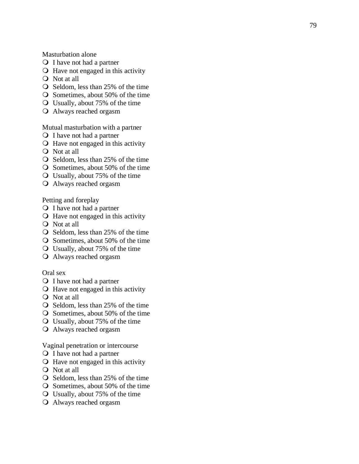Masturbation alone

- Q I have not had a partner
- $\bigcirc$  Have not engaged in this activity
- Not at all
- $\bigcirc$  Seldom, less than 25% of the time
- $\bigcirc$  Sometimes, about 50% of the time
- Usually, about 75% of the time
- Always reached orgasm

Mutual masturbation with a partner

- Q I have not had a partner
- $\bigcirc$  Have not engaged in this activity
- Not at all
- $\overline{O}$  Seldom, less than 25% of the time
- Sometimes, about 50% of the time
- Usually, about 75% of the time
- Always reached orgasm

Petting and foreplay

- Q I have not had a partner
- $\bigcirc$  Have not engaged in this activity
- Not at all
- $\bigcirc$  Seldom, less than 25% of the time
- Sometimes, about 50% of the time
- Usually, about 75% of the time
- Always reached orgasm

Oral sex

- Q I have not had a partner
- $\bigcirc$  Have not engaged in this activity
- Not at all
- $\bigcirc$  Seldom, less than 25% of the time
- $\overline{O}$  Sometimes, about 50% of the time
- Usually, about 75% of the time
- Always reached orgasm

Vaginal penetration or intercourse

- Q I have not had a partner
- $\bigcirc$  Have not engaged in this activity
- Not at all
- O Seldom, less than 25% of the time
- Sometimes, about 50% of the time
- Usually, about 75% of the time
- Always reached orgasm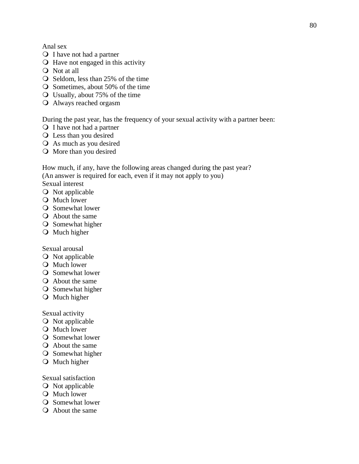- Q I have not had a partner
- Have not engaged in this activity
- Not at all
- $\overline{O}$  Seldom, less than 25% of the time
- Sometimes, about 50% of the time
- Usually, about 75% of the time
- Always reached orgasm

During the past year, has the frequency of your sexual activity with a partner been:

- Q I have not had a partner
- Less than you desired
- As much as you desired
- More than you desired

How much, if any, have the following areas changed during the past year? (An answer is required for each, even if it may not apply to you) Sexual interest

- **O** Not applicable
- **O** Much lower
- **Q** Somewhat lower
- About the same
- **O** Somewhat higher
- O Much higher

Sexual arousal

- O Not applicable
- **O** Much lower
- **O** Somewhat lower
- About the same
- **O** Somewhat higher
- O Much higher

Sexual activity

- **O** Not applicable
- **O** Much lower
- **O** Somewhat lower
- About the same
- **O** Somewhat higher
- **O** Much higher

### Sexual satisfaction

- **O** Not applicable
- **O** Much lower
- **O** Somewhat lower
- About the same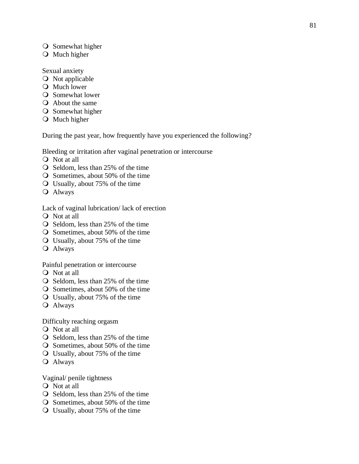- **O** Somewhat higher
- O Much higher

Sexual anxiety

- **O** Not applicable
- **O** Much lower
- Q Somewhat lower
- About the same
- **O** Somewhat higher
- **O** Much higher

During the past year, how frequently have you experienced the following?

Bleeding or irritation after vaginal penetration or intercourse

- Not at all
- $\bigcirc$  Seldom, less than 25% of the time
- $\bigcirc$  Sometimes, about 50% of the time
- Usually, about 75% of the time
- Always

Lack of vaginal lubrication/ lack of erection

- Not at all
- $\overline{O}$  Seldom, less than 25% of the time
- Sometimes, about 50% of the time
- Usually, about 75% of the time
- Always

Painful penetration or intercourse

- Not at all
- $\overline{O}$  Seldom, less than 25% of the time
- Sometimes, about 50% of the time
- Usually, about 75% of the time
- Always

Difficulty reaching orgasm

- Not at all
- O Seldom, less than 25% of the time
- $\overline{O}$  Sometimes, about 50% of the time
- Usually, about 75% of the time
- Always

Vaginal/ penile tightness

- Not at all
- $\overline{O}$  Seldom, less than 25% of the time
- O Sometimes, about 50% of the time
- Usually, about 75% of the time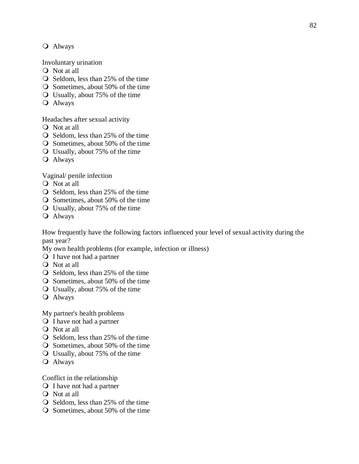## Always

Involuntary urination

- Not at all
- $\overline{O}$  Seldom, less than 25% of the time
- Sometimes, about 50% of the time
- Usually, about 75% of the time
- Always

Headaches after sexual activity

- Not at all
- $\bigcirc$  Seldom, less than 25% of the time
- $\overline{O}$  Sometimes, about 50% of the time
- Usually, about 75% of the time
- Always

Vaginal/ penile infection

- Not at all
- $\overline{O}$  Seldom, less than 25% of the time
- Sometimes, about 50% of the time
- Usually, about 75% of the time
- Always

How frequently have the following factors influenced your level of sexual activity during the past year?

My own health problems (for example, infection or illness)

- Q I have not had a partner
- Not at all
- $\bigcirc$  Seldom, less than 25% of the time
- $\overline{O}$  Sometimes, about 50% of the time
- Usually, about 75% of the time
- Always

My partner's health problems

- Q I have not had a partner
- Not at all
- Seldom, less than 25% of the time
- $\overline{O}$  Sometimes, about 50% of the time
- Usually, about 75% of the time
- Always

Conflict in the relationship

- Q I have not had a partner
- Not at all
- $\bigcirc$  Seldom, less than 25% of the time
- $\Omega$  Sometimes, about 50% of the time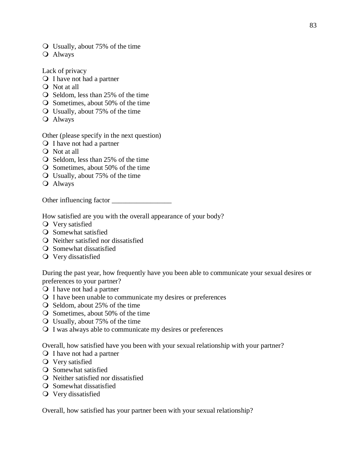- Usually, about 75% of the time
- Always

Lack of privacy

- Q I have not had a partner
- Not at all
- $\overline{O}$  Seldom, less than 25% of the time
- Sometimes, about 50% of the time
- Usually, about 75% of the time
- Always

Other (please specify in the next question)

- Q I have not had a partner
- Not at all
- $\overline{O}$  Seldom, less than 25% of the time
- Sometimes, about 50% of the time
- Usually, about 75% of the time
- Always

Other influencing factor

How satisfied are you with the overall appearance of your body?

- Very satisfied
- **O** Somewhat satisfied
- Neither satisfied nor dissatisfied
- **O** Somewhat dissatisfied
- Very dissatisfied

During the past year, how frequently have you been able to communicate your sexual desires or preferences to your partner?

- Q I have not had a partner
- I have been unable to communicate my desires or preferences
- $\bigcirc$  Seldom, about 25% of the time
- $\overline{O}$  Sometimes, about 50% of the time
- Usually, about 75% of the time
- I was always able to communicate my desires or preferences

Overall, how satisfied have you been with your sexual relationship with your partner?

- Q I have not had a partner
- Very satisfied
- **O** Somewhat satisfied
- Q Neither satisfied nor dissatisfied
- Q Somewhat dissatisfied
- Very dissatisfied

Overall, how satisfied has your partner been with your sexual relationship?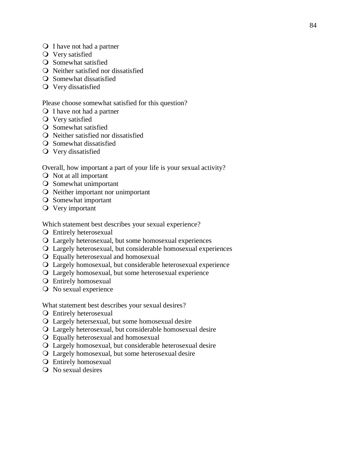- Q I have not had a partner
- Very satisfied
- **O** Somewhat satisfied
- Neither satisfied nor dissatisfied
- **Q** Somewhat dissatisfied
- Very dissatisfied

#### Please choose somewhat satisfied for this question?

- Q I have not had a partner
- Very satisfied
- **O** Somewhat satisfied
- Neither satisfied nor dissatisfied
- **O** Somewhat dissatisfied
- Very dissatisfied

Overall, how important a part of your life is your sexual activity?

- Not at all important
- O Somewhat unimportant
- Neither important nor unimportant
- O Somewhat important
- Very important

Which statement best describes your sexual experience?

- Entirely heterosexual
- Largely heterosexual, but some homosexual experiences
- Largely heterosexual, but considerable homosexual experiences
- Equally heterosexual and homosexual
- Largely homosexual, but considerable heterosexual experience
- Largely homosexual, but some heterosexual experience
- Entirely homosexual
- No sexual experience

What statement best describes your sexual desires?

- Entirely heterosexual
- Largely hetersexual, but some homosexual desire
- Largely heterosexual, but considerable homosexual desire
- Equally heterosexual and homosexual
- Largely homosexual, but considerable heterosexual desire
- Largely homosexual, but some heterosexual desire
- Entirely homosexual
- No sexual desires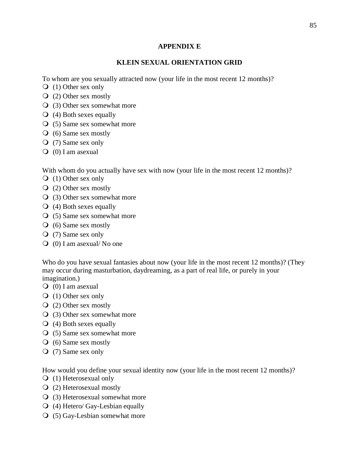## **APPENDIX E**

# **KLEIN SEXUAL ORIENTATION GRID**

To whom are you sexually attracted now (your life in the most recent 12 months)?

- (1) Other sex only
- (2) Other sex mostly
- (3) Other sex somewhat more
- $\overline{Q}$  (4) Both sexes equally
- (5) Same sex somewhat more
- $\overline{Q}$  (6) Same sex mostly
- (7) Same sex only
- $\overline{Q}$  (0) I am asexual

With whom do you actually have sex with now (your life in the most recent 12 months)?

- $\overline{Q}$  (1) Other sex only
- (2) Other sex mostly
- (3) Other sex somewhat more
- $\overline{Q}$  (4) Both sexes equally
- (5) Same sex somewhat more
- (6) Same sex mostly
- (7) Same sex only
- $\overline{Q}$  (0) I am asexual/No one

Who do you have sexual fantasies about now (your life in the most recent 12 months)? (They may occur during masturbation, daydreaming, as a part of real life, or purely in your imagination.)

- $\overline{Q}$  (0) I am asexual
- (1) Other sex only
- (2) Other sex mostly
- (3) Other sex somewhat more
- (4) Both sexes equally
- (5) Same sex somewhat more
- (6) Same sex mostly
- (7) Same sex only

How would you define your sexual identity now (your life in the most recent 12 months)?

- (1) Heterosexual only
- (2) Heterosexual mostly
- (3) Heterosexual somewhat more
- $\overline{Q}$  (4) Hetero/ Gay-Lesbian equally
- (5) Gay-Lesbian somewhat more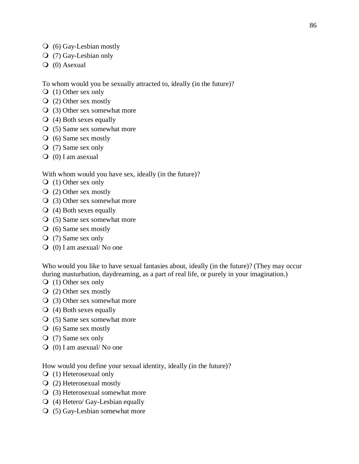- (6) Gay-Lesbian mostly
- (7) Gay-Lesbian only
- $\overline{Q}$  (0) Asexual

To whom would you be sexually attracted to, ideally (in the future)?

- $\overline{Q}$  (1) Other sex only
- (2) Other sex mostly
- (3) Other sex somewhat more
- $\overline{Q}$  (4) Both sexes equally
- (5) Same sex somewhat more
- (6) Same sex mostly
- (7) Same sex only
- $\overline{Q}$  (0) I am asexual

With whom would you have sex, ideally (in the future)?

- (1) Other sex only
- (2) Other sex mostly
- (3) Other sex somewhat more
- $\overline{Q}$  (4) Both sexes equally
- (5) Same sex somewhat more
- $\overline{O}$  (6) Same sex mostly
- (7) Same sex only
- $\overline{Q}$  (0) I am asexual/No one

Who would you like to have sexual fantasies about, ideally (in the future)? (They may occur during masturbation, daydreaming, as a part of real life, or purely in your imagination.)

- (1) Other sex only
- (2) Other sex mostly
- (3) Other sex somewhat more
- $\overline{Q}$  (4) Both sexes equally
- (5) Same sex somewhat more
- (6) Same sex mostly
- (7) Same sex only
- $\overline{Q}$  (0) I am asexual/ No one

How would you define your sexual identity, ideally (in the future)?

- (1) Heterosexual only
- (2) Heterosexual mostly
- (3) Heterosexual somewhat more
- (4) Hetero/ Gay-Lesbian equally
- (5) Gay-Lesbian somewhat more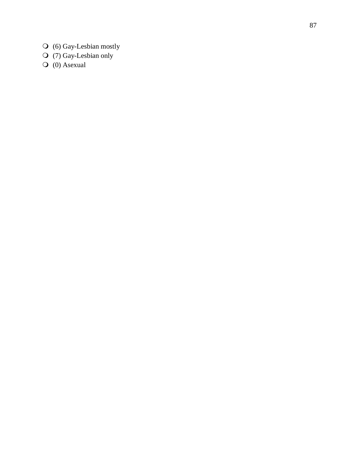- (6) Gay -Lesbian mostly
- (7) Gay -Lesbian only
- $\bigcirc$  (0) Asexual